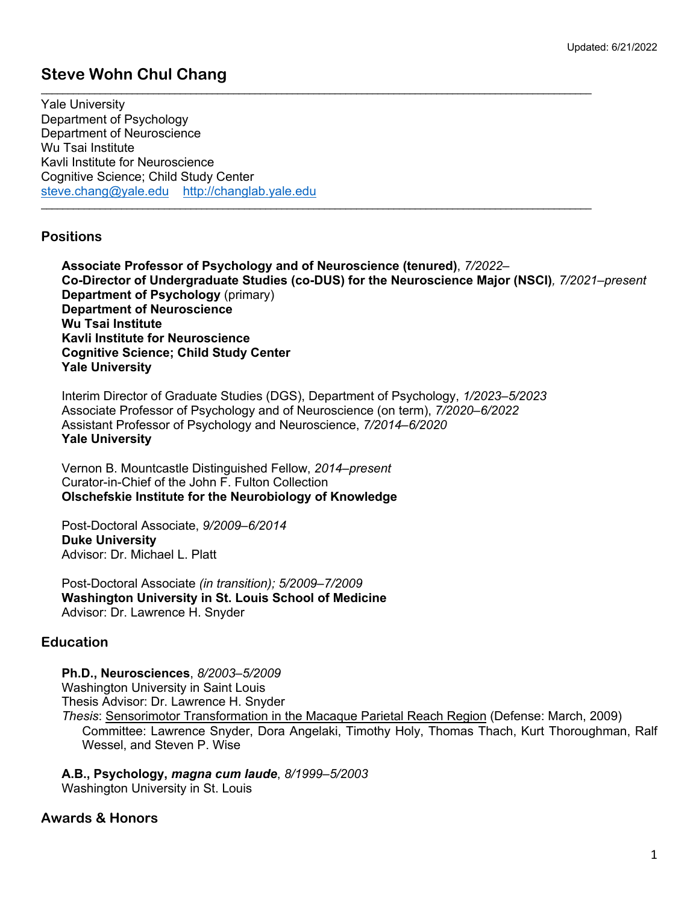# **Steve Wohn Chul Chang**

**\_\_\_\_\_\_\_\_\_\_\_\_\_\_\_\_\_\_\_\_\_\_\_\_\_\_\_\_\_\_\_\_\_\_\_\_\_\_\_\_\_\_\_\_\_\_\_\_\_\_\_\_\_\_\_\_\_\_\_\_\_\_\_\_\_\_\_\_\_\_\_\_\_\_\_\_\_\_\_\_\_\_\_\_\_\_\_\_\_\_\_\_\_\_\_\_\_\_\_\_\_\_\_** Yale University Department of Psychology Department of Neuroscience Wu Tsai Institute Kavli Institute for Neuroscience Cognitive Science; Child Study Center steve.chang@yale.edu http://changlab.yale.edu

### **Positions**

**Associate Professor of Psychology and of Neuroscience (tenured)**, *7/2022*– **Co-Director of Undergraduate Studies (co-DUS) for the Neuroscience Major (NSCI)***, 7/2021–present* **Department of Psychology** (primary) **Department of Neuroscience Wu Tsai Institute Kavli Institute for Neuroscience Cognitive Science; Child Study Center Yale University**

Interim Director of Graduate Studies (DGS), Department of Psychology, *1/2023–5/2023* Associate Professor of Psychology and of Neuroscience (on term), *7/2020*–*6/2022* Assistant Professor of Psychology and Neuroscience, *7/2014*–*6/2020* **Yale University**

**\_\_\_\_\_\_\_\_\_\_\_\_\_\_\_\_\_\_\_\_\_\_\_\_\_\_\_\_\_\_\_\_\_\_\_\_\_\_\_\_\_\_\_\_\_\_\_\_\_\_\_\_\_\_\_\_\_\_\_\_\_\_\_\_\_\_\_\_\_\_\_\_\_\_\_\_\_\_\_\_\_\_\_\_\_\_\_\_\_\_\_\_\_\_\_\_\_\_\_\_\_\_\_**

Vernon B. Mountcastle Distinguished Fellow, *2014*–*present* Curator-in-Chief of the John F. Fulton Collection **Olschefskie Institute for the Neurobiology of Knowledge**

Post-Doctoral Associate, *9/2009*–*6/2014* **Duke University** Advisor: Dr. Michael L. Platt

Post-Doctoral Associate *(in transition); 5/2009–7/2009* **Washington University in St. Louis School of Medicine** Advisor: Dr. Lawrence H. Snyder

# **Education**

**Ph.D., Neurosciences**, *8/2003*–*5/2009* Washington University in Saint Louis

Thesis Advisor: Dr. Lawrence H. Snyder

*Thesis*: Sensorimotor Transformation in the Macaque Parietal Reach Region (Defense: March, 2009) Committee: Lawrence Snyder, Dora Angelaki, Timothy Holy, Thomas Thach, Kurt Thoroughman, Ralf Wessel, and Steven P. Wise

**A.B., Psychology,** *magna cum laude*, *8/1999*–*5/2003* Washington University in St. Louis

# **Awards & Honors**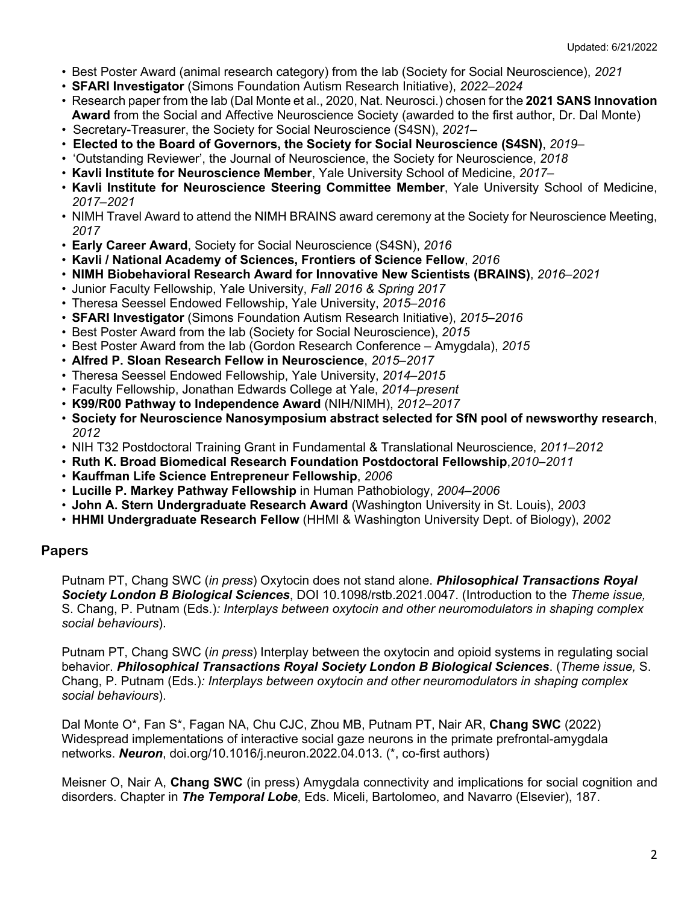- Best Poster Award (animal research category) from the lab (Society for Social Neuroscience), *2021*
- **SFARI Investigator** (Simons Foundation Autism Research Initiative), *2022*–*2024*
- Research paper from the lab (Dal Monte et al., 2020, Nat. Neurosci.) chosen for the **2021 SANS Innovation Award** from the Social and Affective Neuroscience Society (awarded to the first author, Dr. Dal Monte)
- Secretary-Treasurer, the Society for Social Neuroscience (S4SN), *2021–*
- **Elected to the Board of Governors, the Society for Social Neuroscience (S4SN)**, *2019–*
- 'Outstanding Reviewer', the Journal of Neuroscience, the Society for Neuroscience, *2018*
- **Kavli Institute for Neuroscience Member**, Yale University School of Medicine, *2017*–
- **Kavli Institute for Neuroscience Steering Committee Member**, Yale University School of Medicine, *2017*–*2021*
- NIMH Travel Award to attend the NIMH BRAINS award ceremony at the Society for Neuroscience Meeting, *2017*
- **Early Career Award**, Society for Social Neuroscience (S4SN), *2016*
- **Kavli / National Academy of Sciences, Frontiers of Science Fellow**, *2016*
- **NIMH Biobehavioral Research Award for Innovative New Scientists (BRAINS)**, *2016*–*2021*
- Junior Faculty Fellowship, Yale University, *Fall 2016 & Spring 2017*
- Theresa Seessel Endowed Fellowship, Yale University, *2015*–*2016*
- **SFARI Investigator** (Simons Foundation Autism Research Initiative), *2015*–*2016*
- Best Poster Award from the lab (Society for Social Neuroscience), *2015*
- Best Poster Award from the lab (Gordon Research Conference Amygdala), *2015*
- **Alfred P. Sloan Research Fellow in Neuroscience**, *2015*–*2017*
- Theresa Seessel Endowed Fellowship, Yale University, *2014*–*2015*
- Faculty Fellowship, Jonathan Edwards College at Yale, *2014*–*present*
- **K99/R00 Pathway to Independence Award** (NIH/NIMH), *2012*–*2017*
- **Society for Neuroscience Nanosymposium abstract selected for SfN pool of newsworthy research**, *2012*
- NIH T32 Postdoctoral Training Grant in Fundamental & Translational Neuroscience, *2011*–*2012*
- **Ruth K. Broad Biomedical Research Foundation Postdoctoral Fellowship**,*2010*–*2011*
- **Kauffman Life Science Entrepreneur Fellowship**, *2006*
- **Lucille P. Markey Pathway Fellowship** in Human Pathobiology, *2004*–*2006*
- **John A. Stern Undergraduate Research Award** (Washington University in St. Louis), *2003*
- **HHMI Undergraduate Research Fellow** (HHMI & Washington University Dept. of Biology), *2002*

### **Papers**

Putnam PT, Chang SWC (*in press*) Oxytocin does not stand alone. *Philosophical Transactions Royal Society London B Biological Sciences*, DOI 10.1098/rstb.2021.0047. (Introduction to the *Theme issue,*  S. Chang, P. Putnam (Eds.)*: Interplays between oxytocin and other neuromodulators in shaping complex social behaviours*).

Putnam PT, Chang SWC (*in press*) Interplay between the oxytocin and opioid systems in regulating social behavior. *Philosophical Transactions Royal Society London B Biological Sciences*. (*Theme issue,* S. Chang, P. Putnam (Eds.)*: Interplays between oxytocin and other neuromodulators in shaping complex social behaviours*).

Dal Monte O\*, Fan S\*, Fagan NA, Chu CJC, Zhou MB, Putnam PT, Nair AR, **Chang SWC** (2022) Widespread implementations of interactive social gaze neurons in the primate prefrontal-amygdala networks. *Neuron*, doi.org/10.1016/j.neuron.2022.04.013. (\*, co-first authors)

Meisner O, Nair A, **Chang SWC** (in press) Amygdala connectivity and implications for social cognition and disorders. Chapter in *The Temporal Lobe*, Eds. Miceli, Bartolomeo, and Navarro (Elsevier), 187.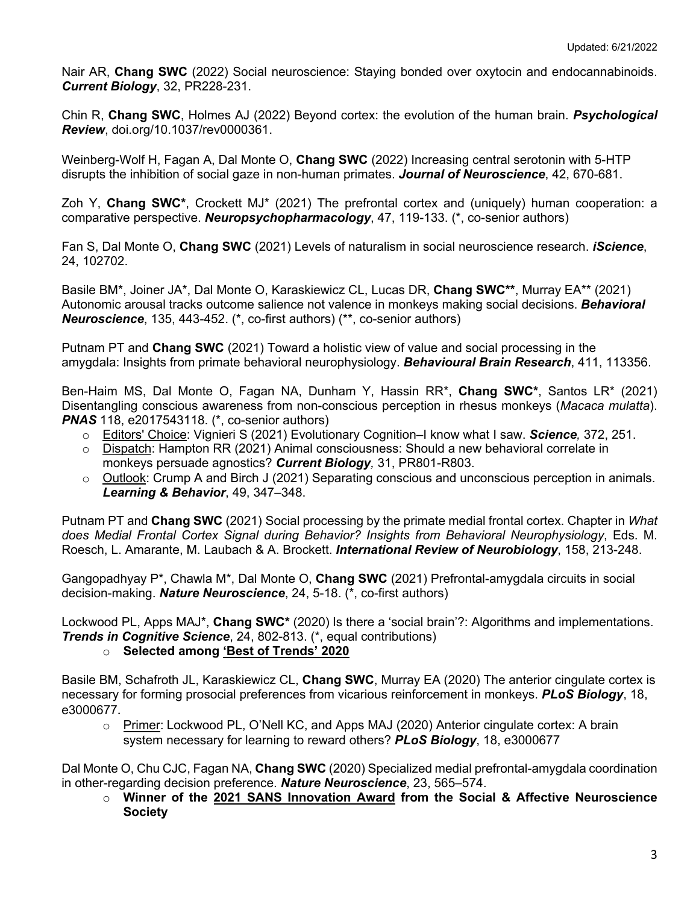Nair AR, **Chang SWC** (2022) Social neuroscience: Staying bonded over oxytocin and endocannabinoids. *Current Biology*, 32, PR228-231.

Chin R, **Chang SWC**, Holmes AJ (2022) Beyond cortex: the evolution of the human brain. *Psychological Review*, doi.org/10.1037/rev0000361.

Weinberg-Wolf H, Fagan A, Dal Monte O, **Chang SWC** (2022) Increasing central serotonin with 5-HTP disrupts the inhibition of social gaze in non-human primates. *Journal of Neuroscience*, 42, 670-681.

Zoh Y, **Chang SWC\***, Crockett MJ\* (2021) The prefrontal cortex and (uniquely) human cooperation: a comparative perspective. *Neuropsychopharmacology*, 47, 119-133. (\*, co-senior authors)

Fan S, Dal Monte O, **Chang SWC** (2021) Levels of naturalism in social neuroscience research. *iScience*, 24, 102702.

Basile BM\*, Joiner JA\*, Dal Monte O, Karaskiewicz CL, Lucas DR, **Chang SWC\*\***, Murray EA\*\* (2021) Autonomic arousal tracks outcome salience not valence in monkeys making social decisions. *Behavioral Neuroscience*, 135, 443-452. (\*, co-first authors) (\*\*, co-senior authors)

Putnam PT and **Chang SWC** (2021) Toward a holistic view of value and social processing in the amygdala: Insights from primate behavioral neurophysiology. *Behavioural Brain Research*, 411, 113356.

Ben-Haim MS, Dal Monte O, Fagan NA, Dunham Y, Hassin RR\*, **Chang SWC\***, Santos LR\* (2021) Disentangling conscious awareness from non-conscious perception in rhesus monkeys (*Macaca mulatta*). *PNAS* 118, e2017543118. (\*, co-senior authors)

- o Editors' Choice: Vignieri S (2021) Evolutionary Cognition–I know what I saw. *Science,* 372, 251.
- o Dispatch: Hampton RR (2021) Animal consciousness: Should a new behavioral correlate in monkeys persuade agnostics? *Current Biology,* 31, PR801-R803.
- $\circ$  Outlook: Crump A and Birch J (2021) Separating conscious and unconscious perception in animals. *Learning & Behavior*, 49, 347–348.

Putnam PT and **Chang SWC** (2021) Social processing by the primate medial frontal cortex. Chapter in *What does Medial Frontal Cortex Signal during Behavior? Insights from Behavioral Neurophysiology*, Eds. M. Roesch, L. Amarante, M. Laubach & A. Brockett. *International Review of Neurobiology*, 158, 213-248.

Gangopadhyay P\*, Chawla M\*, Dal Monte O, **Chang SWC** (2021) Prefrontal-amygdala circuits in social decision-making. *Nature Neuroscience*, 24, 5-18. (\*, co-first authors)

Lockwood PL, Apps MAJ\*, **Chang SWC\*** (2020) Is there a 'social brain'?: Algorithms and implementations. *Trends in Cognitive Science*, 24, 802-813. (\*, equal contributions)

### o **Selected among 'Best of Trends' 2020**

Basile BM, Schafroth JL, Karaskiewicz CL, **Chang SWC**, Murray EA (2020) The anterior cingulate cortex is necessary for forming prosocial preferences from vicarious reinforcement in monkeys. *PLoS Biology*, 18, e3000677.

o Primer: Lockwood PL, O'Nell KC, and Apps MAJ (2020) Anterior cingulate cortex: A brain system necessary for learning to reward others? *PLoS Biology*, 18, e3000677

Dal Monte O, Chu CJC, Fagan NA, **Chang SWC** (2020) Specialized medial prefrontal-amygdala coordination in other-regarding decision preference. *Nature Neuroscience*, 23, 565–574.

o **Winner of the 2021 SANS Innovation Award from the Social & Affective Neuroscience Society**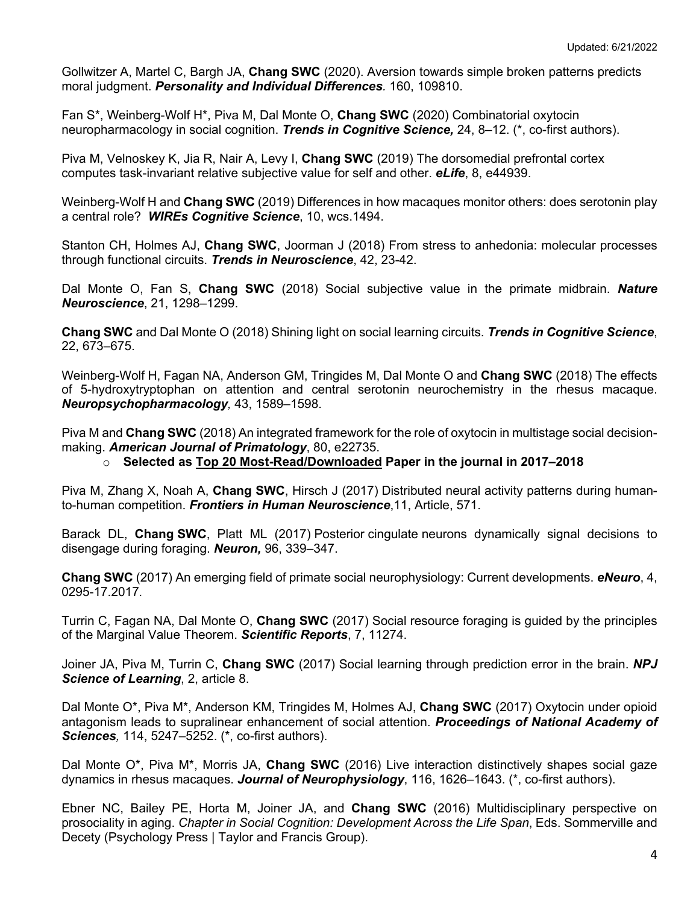Gollwitzer A, Martel C, Bargh JA, **Chang SWC** (2020). Aversion towards simple broken patterns predicts moral judgment. *Personality and Individual Differences.* 160, 109810.

Fan S\*, Weinberg-Wolf H\*, Piva M, Dal Monte O, **Chang SWC** (2020) Combinatorial oxytocin neuropharmacology in social cognition. *Trends in Cognitive Science,* 24, 8–12. (\*, co-first authors).

Piva M, Velnoskey K, Jia R, Nair A, Levy I, **Chang SWC** (2019) The dorsomedial prefrontal cortex computes task-invariant relative subjective value for self and other. *eLife*, 8, e44939.

Weinberg-Wolf H and **Chang SWC** (2019) Differences in how macaques monitor others: does serotonin play a central role? *WIREs Cognitive Science*, 10, wcs.1494.

Stanton CH, Holmes AJ, **Chang SWC**, Joorman J (2018) From stress to anhedonia: molecular processes through functional circuits. *Trends in Neuroscience*, 42, 23-42.

Dal Monte O, Fan S, **Chang SWC** (2018) Social subjective value in the primate midbrain. *Nature Neuroscience*, 21, 1298–1299.

**Chang SWC** and Dal Monte O (2018) Shining light on social learning circuits. *Trends in Cognitive Science*, 22, 673–675.

Weinberg-Wolf H, Fagan NA, Anderson GM, Tringides M, Dal Monte O and **Chang SWC** (2018) The effects of 5-hydroxytryptophan on attention and central serotonin neurochemistry in the rhesus macaque. *Neuropsychopharmacology,* 43, 1589–1598.

Piva M and **Chang SWC** (2018) An integrated framework for the role of oxytocin in multistage social decisionmaking. *American Journal of Primatology*, 80, e22735.

#### o **Selected as Top 20 Most-Read/Downloaded Paper in the journal in 2017–2018**

Piva M, Zhang X, Noah A, **Chang SWC**, Hirsch J (2017) Distributed neural activity patterns during humanto-human competition. *Frontiers in Human Neuroscience*,11, Article, 571.

Barack DL, **Chang SWC**, Platt ML (2017) Posterior cingulate neurons dynamically signal decisions to disengage during foraging. *Neuron,* 96, 339–347.

**Chang SWC** (2017) An emerging field of primate social neurophysiology: Current developments. *eNeuro*, 4, 0295-17.2017*.*

Turrin C, Fagan NA, Dal Monte O, **Chang SWC** (2017) Social resource foraging is guided by the principles of the Marginal Value Theorem. *Scientific Reports*, 7, 11274.

Joiner JA, Piva M, Turrin C, **Chang SWC** (2017) Social learning through prediction error in the brain. *NPJ Science of Learning*, 2, article 8.

Dal Monte O\*, Piva M\*, Anderson KM, Tringides M, Holmes AJ, **Chang SWC** (2017) Oxytocin under opioid antagonism leads to supralinear enhancement of social attention. *Proceedings of National Academy of Sciences,* 114, 5247–5252. (\*, co-first authors).

Dal Monte O\*, Piva M\*, Morris JA, **Chang SWC** (2016) Live interaction distinctively shapes social gaze dynamics in rhesus macaques. *Journal of Neurophysiology*, 116, 1626–1643. (\*, co-first authors).

Ebner NC, Bailey PE, Horta M, Joiner JA, and **Chang SWC** (2016) Multidisciplinary perspective on prosociality in aging. *Chapter in Social Cognition: Development Across the Life Span*, Eds. Sommerville and Decety (Psychology Press | Taylor and Francis Group).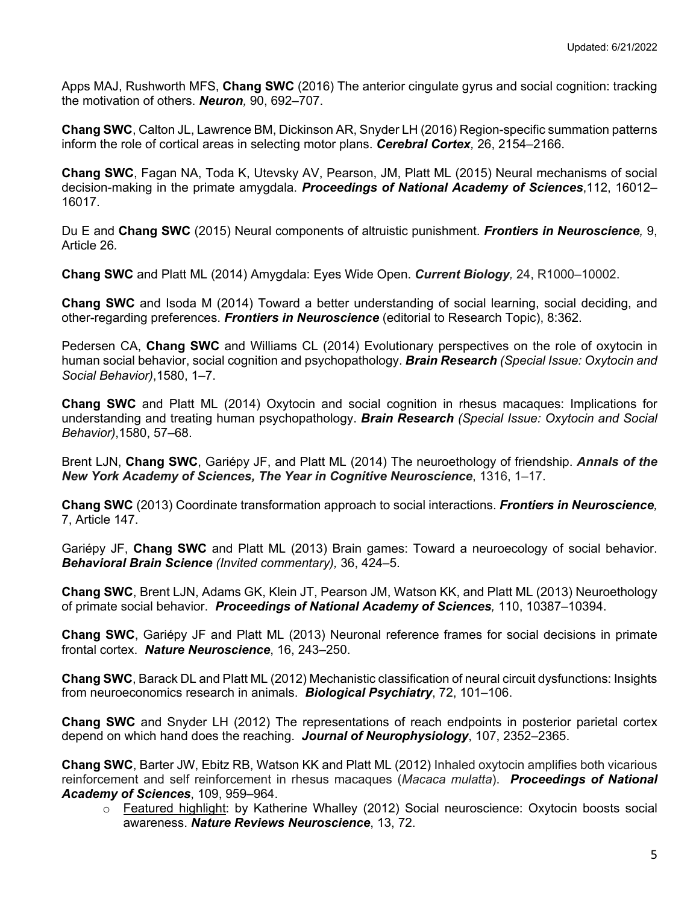Apps MAJ, Rushworth MFS, **Chang SWC** (2016) The anterior cingulate gyrus and social cognition: tracking the motivation of others. *Neuron,* 90, 692–707.

**Chang SWC**, Calton JL, Lawrence BM, Dickinson AR, Snyder LH (2016) Region-specific summation patterns inform the role of cortical areas in selecting motor plans. *Cerebral Cortex,* 26, 2154–2166.

**Chang SWC**, Fagan NA, Toda K, Utevsky AV, Pearson, JM, Platt ML (2015) Neural mechanisms of social decision-making in the primate amygdala. *Proceedings of National Academy of Sciences*,112, 16012– 16017.

Du E and **Chang SWC** (2015) Neural components of altruistic punishment. *Frontiers in Neuroscience,* 9, Article 26*.*

**Chang SWC** and Platt ML (2014) Amygdala: Eyes Wide Open. *Current Biology,* 24, R1000–10002.

**Chang SWC** and Isoda M (2014) Toward a better understanding of social learning, social deciding, and other-regarding preferences. *Frontiers in Neuroscience* (editorial to Research Topic), 8:362.

Pedersen CA, **Chang SWC** and Williams CL (2014) Evolutionary perspectives on the role of oxytocin in human social behavior, social cognition and psychopathology. *Brain Research (Special Issue: Oxytocin and Social Behavior)*,1580, 1–7.

**Chang SWC** and Platt ML (2014) Oxytocin and social cognition in rhesus macaques: Implications for understanding and treating human psychopathology. *Brain Research (Special Issue: Oxytocin and Social Behavior)*,1580, 57–68.

Brent LJN, **Chang SWC**, Gariépy JF, and Platt ML (2014) The neuroethology of friendship. *Annals of the New York Academy of Sciences, The Year in Cognitive Neuroscience*, 1316, 1–17.

**Chang SWC** (2013) Coordinate transformation approach to social interactions. *Frontiers in Neuroscience,* 7, Article 147.

Gariépy JF, **Chang SWC** and Platt ML (2013) Brain games: Toward a neuroecology of social behavior. *Behavioral Brain Science (Invited commentary),* 36, 424–5.

**Chang SWC**, Brent LJN, Adams GK, Klein JT, Pearson JM, Watson KK, and Platt ML (2013) Neuroethology of primate social behavior. *Proceedings of National Academy of Sciences,* 110, 10387–10394.

**Chang SWC**, Gariépy JF and Platt ML (2013) Neuronal reference frames for social decisions in primate frontal cortex. *Nature Neuroscience*, 16, 243–250.

**Chang SWC**, Barack DL and Platt ML (2012) Mechanistic classification of neural circuit dysfunctions: Insights from neuroeconomics research in animals. *Biological Psychiatry*, 72, 101–106.

**Chang SWC** and Snyder LH (2012) The representations of reach endpoints in posterior parietal cortex depend on which hand does the reaching. *Journal of Neurophysiology*, 107, 2352–2365.

**Chang SWC**, Barter JW, Ebitz RB, Watson KK and Platt ML (2012) Inhaled oxytocin amplifies both vicarious reinforcement and self reinforcement in rhesus macaques (*Macaca mulatta*). *Proceedings of National Academy of Sciences*, 109, 959–964.

o Featured highlight: by Katherine Whalley (2012) Social neuroscience: Oxytocin boosts social awareness. *Nature Reviews Neuroscience*, 13, 72.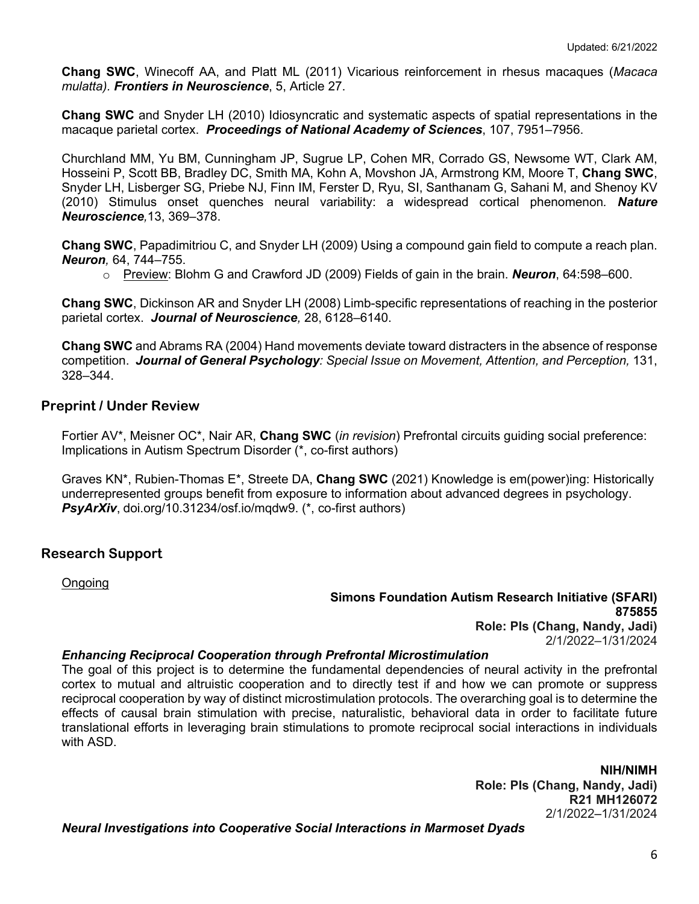**Chang SWC**, Winecoff AA, and Platt ML (2011) Vicarious reinforcement in rhesus macaques (*Macaca mulatta). Frontiers in Neuroscience*, 5, Article 27.

**Chang SWC** and Snyder LH (2010) Idiosyncratic and systematic aspects of spatial representations in the macaque parietal cortex. *Proceedings of National Academy of Sciences*, 107, 7951–7956.

Churchland MM, Yu BM, Cunningham JP, Sugrue LP, Cohen MR, Corrado GS, Newsome WT, Clark AM, Hosseini P, Scott BB, Bradley DC, Smith MA, Kohn A, Movshon JA, Armstrong KM, Moore T, **Chang SWC**, Snyder LH, Lisberger SG, Priebe NJ, Finn IM, Ferster D, Ryu, SI, Santhanam G, Sahani M, and Shenoy KV (2010) Stimulus onset quenches neural variability: a widespread cortical phenomenon*. Nature Neuroscience,*13, 369–378.

**Chang SWC**, Papadimitriou C, and Snyder LH (2009) Using a compound gain field to compute a reach plan. *Neuron,* 64, 744–755.

o Preview: Blohm G and Crawford JD (2009) Fields of gain in the brain. *Neuron*, 64:598–600.

**Chang SWC**, Dickinson AR and Snyder LH (2008) Limb-specific representations of reaching in the posterior parietal cortex. *Journal of Neuroscience,* 28, 6128–6140.

**Chang SWC** and Abrams RA (2004) Hand movements deviate toward distracters in the absence of response competition. *Journal of General Psychology: Special Issue on Movement, Attention, and Perception,* 131, 328–344.

### **Preprint / Under Review**

Fortier AV\*, Meisner OC\*, Nair AR, **Chang SWC** (*in revision*) Prefrontal circuits guiding social preference: Implications in Autism Spectrum Disorder (\*, co-first authors)

Graves KN\*, Rubien-Thomas E\*, Streete DA, **Chang SWC** (2021) Knowledge is em(power)ing: Historically underrepresented groups benefit from exposure to information about advanced degrees in psychology. *PsyArXiv*, doi.org/10.31234/osf.io/mqdw9. (\*, co-first authors)

### **Research Support**

**Ongoing** 

**Simons Foundation Autism Research Initiative (SFARI) 875855 Role: PIs (Chang, Nandy, Jadi)** 2/1/2022–1/31/2024

#### *Enhancing Reciprocal Cooperation through Prefrontal Microstimulation*

The goal of this project is to determine the fundamental dependencies of neural activity in the prefrontal cortex to mutual and altruistic cooperation and to directly test if and how we can promote or suppress reciprocal cooperation by way of distinct microstimulation protocols. The overarching goal is to determine the effects of causal brain stimulation with precise, naturalistic, behavioral data in order to facilitate future translational efforts in leveraging brain stimulations to promote reciprocal social interactions in individuals with ASD.

> **NIH/NIMH Role: PIs (Chang, Nandy, Jadi) R21 MH126072** 2/1/2022–1/31/2024

*Neural Investigations into Cooperative Social Interactions in Marmoset Dyads*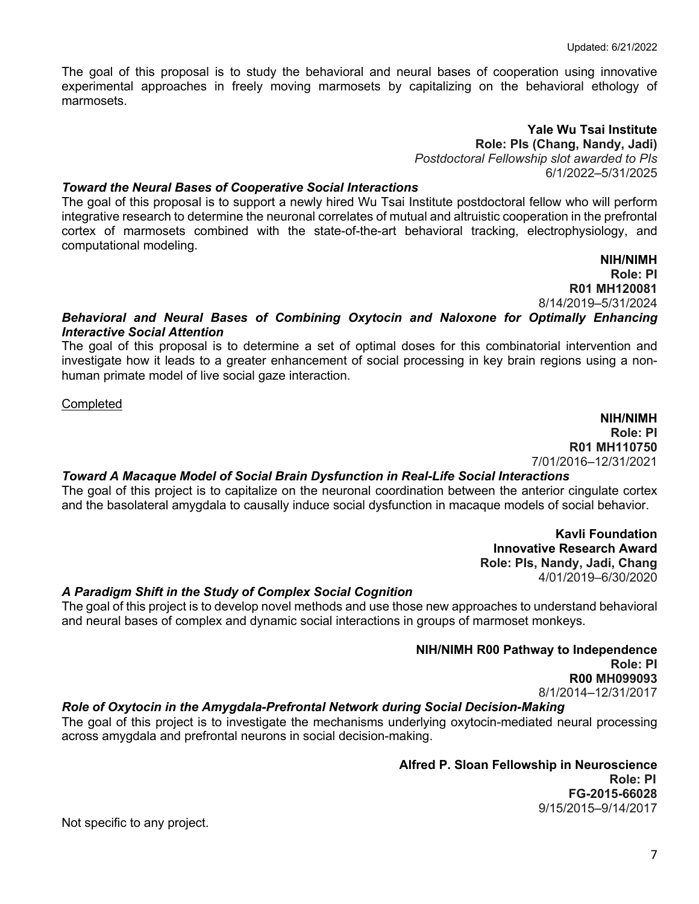The goal of this proposal is to study the behavioral and neural bases of cooperation using innovative experimental approaches in freely moving marmosets by capitalizing on the behavioral ethology of marmosets.

> **Yale Wu Tsai Institute Role: PIs (Chang, Nandy, Jadi)**  *Postdoctoral Fellowship slot awarded to PIs* 6/1/2022–5/31/2025

#### *Toward the Neural Bases of Cooperative Social Interactions*

The goal of this proposal is to support a newly hired Wu Tsai Institute postdoctoral fellow who will perform integrative research to determine the neuronal correlates of mutual and altruistic cooperation in the prefrontal cortex of marmosets combined with the state-of-the-art behavioral tracking, electrophysiology, and computational modeling.

> **NIH/NIMH Role: PI R01 MH120081** 8/14/2019–5/31/2024

### *Behavioral and Neural Bases of Combining Oxytocin and Naloxone for Optimally Enhancing Interactive Social Attention*

The goal of this proposal is to determine a set of optimal doses for this combinatorial intervention and investigate how it leads to a greater enhancement of social processing in key brain regions using a nonhuman primate model of live social gaze interaction.

**Completed** 

**NIH/NIMH Role: PI R01 MH110750**  7/01/2016–12/31/2021

#### *Toward A Macaque Model of Social Brain Dysfunction in Real-Life Social Interactions*

The goal of this project is to capitalize on the neuronal coordination between the anterior cingulate cortex and the basolateral amygdala to causally induce social dysfunction in macaque models of social behavior.

> **Kavli Foundation Innovative Research Award Role: PIs, Nandy, Jadi, Chang** 4/01/2019–6/30/2020

#### *A Paradigm Shift in the Study of Complex Social Cognition*

The goal of this project is to develop novel methods and use those new approaches to understand behavioral and neural bases of complex and dynamic social interactions in groups of marmoset monkeys.

#### **NIH/NIMH R00 Pathway to Independence Role: PI R00 MH099093**  8/1/2014–12/31/2017

#### *Role of Oxytocin in the Amygdala-Prefrontal Network during Social Decision-Making*

The goal of this project is to investigate the mechanisms underlying oxytocin-mediated neural processing across amygdala and prefrontal neurons in social decision-making.

> **Alfred P. Sloan Fellowship in Neuroscience Role: PI FG-2015-66028**  9/15/2015–9/14/2017

Not specific to any project.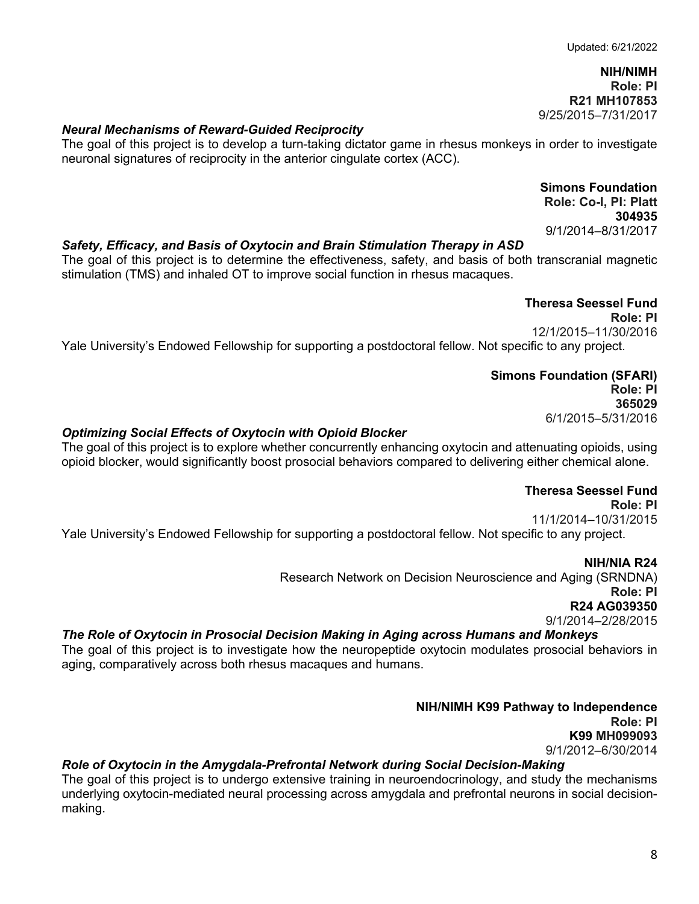**NIH/NIMH Role: PI R21 MH107853** 9/25/2015–7/31/2017

#### *Neural Mechanisms of Reward-Guided Reciprocity*

The goal of this project is to develop a turn-taking dictator game in rhesus monkeys in order to investigate neuronal signatures of reciprocity in the anterior cingulate cortex (ACC).

> **Simons Foundation Role: Co-I, PI: Platt 304935** 9/1/2014–8/31/2017

#### *Safety, Efficacy, and Basis of Oxytocin and Brain Stimulation Therapy in ASD*

The goal of this project is to determine the effectiveness, safety, and basis of both transcranial magnetic stimulation (TMS) and inhaled OT to improve social function in rhesus macaques.

# **Theresa Seessel Fund**

 **Role: PI** 12/1/2015–11/30/2016 Yale University's Endowed Fellowship for supporting a postdoctoral fellow. Not specific to any project.

#### **Simons Foundation (SFARI)**

 **Role: PI 365029**  6/1/2015–5/31/2016

#### *Optimizing Social Effects of Oxytocin with Opioid Blocker*

The goal of this project is to explore whether concurrently enhancing oxytocin and attenuating opioids, using opioid blocker, would significantly boost prosocial behaviors compared to delivering either chemical alone.

# **Theresa Seessel Fund**

 **Role: PI** 11/1/2014–10/31/2015 Yale University's Endowed Fellowship for supporting a postdoctoral fellow. Not specific to any project.

**NIH/NIA R24**

Research Network on Decision Neuroscience and Aging (SRNDNA) **Role: PI R24 AG039350**  9/1/2014–2/28/2015

#### *The Role of Oxytocin in Prosocial Decision Making in Aging across Humans and Monkeys*

The goal of this project is to investigate how the neuropeptide oxytocin modulates prosocial behaviors in aging, comparatively across both rhesus macaques and humans.

> **NIH/NIMH K99 Pathway to Independence Role: PI K99 MH099093**  9/1/2012–6/30/2014

#### *Role of Oxytocin in the Amygdala-Prefrontal Network during Social Decision-Making*

The goal of this project is to undergo extensive training in neuroendocrinology, and study the mechanisms underlying oxytocin-mediated neural processing across amygdala and prefrontal neurons in social decisionmaking.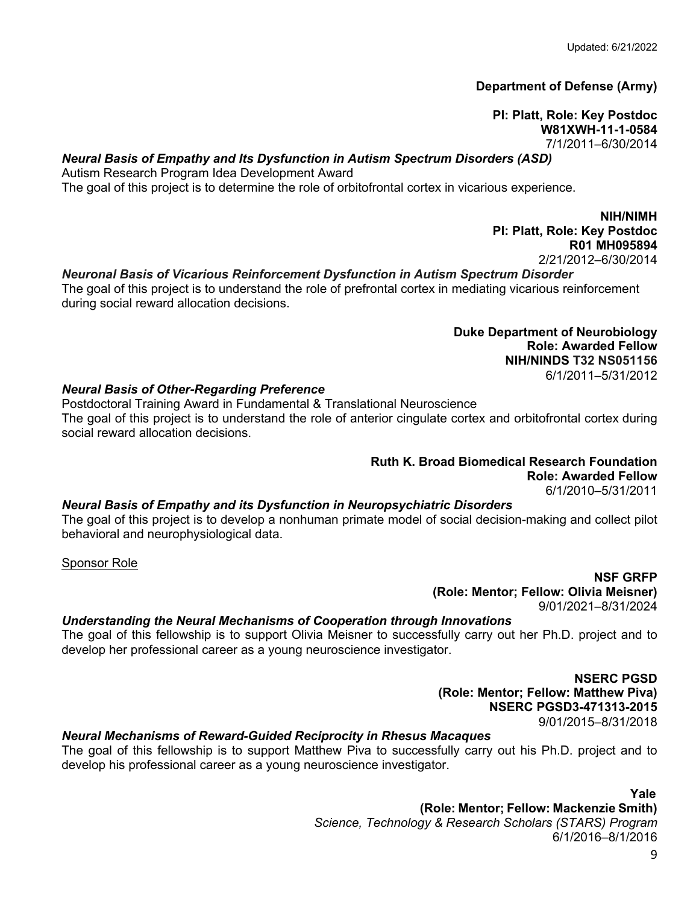### **Department of Defense (Army)**

**PI: Platt, Role: Key Postdoc W81XWH-11-1-0584**  7/1/2011–6/30/2014

### *Neural Basis of Empathy and Its Dysfunction in Autism Spectrum Disorders (ASD)*

Autism Research Program Idea Development Award The goal of this project is to determine the role of orbitofrontal cortex in vicarious experience.

> **NIH/NIMH PI: Platt, Role: Key Postdoc R01 MH095894**

#### 2/21/2012–6/30/2014 *Neuronal Basis of Vicarious Reinforcement Dysfunction in Autism Spectrum Disorder*

The goal of this project is to understand the role of prefrontal cortex in mediating vicarious reinforcement during social reward allocation decisions.

> **Duke Department of Neurobiology Role: Awarded Fellow NIH/NINDS T32 NS051156** 6/1/2011–5/31/2012

#### *Neural Basis of Other-Regarding Preference*

Postdoctoral Training Award in Fundamental & Translational Neuroscience The goal of this project is to understand the role of anterior cingulate cortex and orbitofrontal cortex during social reward allocation decisions.

#### **Ruth K. Broad Biomedical Research Foundation Role: Awarded Fellow**

6/1/2010–5/31/2011

#### *Neural Basis of Empathy and its Dysfunction in Neuropsychiatric Disorders*

The goal of this project is to develop a nonhuman primate model of social decision-making and collect pilot behavioral and neurophysiological data.

Sponsor Role

**NSF GRFP (Role: Mentor; Fellow: Olivia Meisner)** 9/01/2021–8/31/2024

#### *Understanding the Neural Mechanisms of Cooperation through Innovations*

The goal of this fellowship is to support Olivia Meisner to successfully carry out her Ph.D. project and to develop her professional career as a young neuroscience investigator.

> **NSERC PGSD (Role: Mentor; Fellow: Matthew Piva) NSERC PGSD3-471313-2015**  9/01/2015–8/31/2018

### *Neural Mechanisms of Reward-Guided Reciprocity in Rhesus Macaques*

The goal of this fellowship is to support Matthew Piva to successfully carry out his Ph.D. project and to develop his professional career as a young neuroscience investigator.

*Yale* 

 **(Role: Mentor; Fellow: Mackenzie Smith)** *Science, Technology & Research Scholars (STARS) Program* 6/1/2016–8/1/2016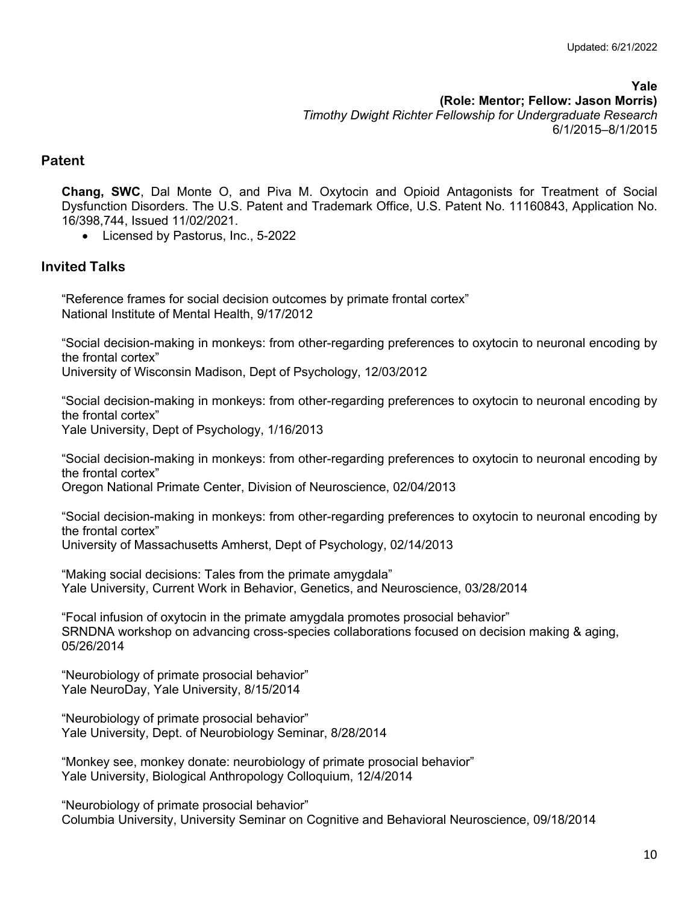**Yale (Role: Mentor; Fellow: Jason Morris)** *Timothy Dwight Richter Fellowship for Undergraduate Research* 6/1/2015–8/1/2015

# **Patent**

**Chang, SWC**, Dal Monte O, and Piva M. Oxytocin and Opioid Antagonists for Treatment of Social Dysfunction Disorders. The U.S. Patent and Trademark Office, U.S. Patent No. 11160843, Application No. 16/398,744, Issued 11/02/2021.

• Licensed by Pastorus, Inc., 5-2022

# **Invited Talks**

"Reference frames for social decision outcomes by primate frontal cortex" National Institute of Mental Health, 9/17/2012

"Social decision-making in monkeys: from other-regarding preferences to oxytocin to neuronal encoding by the frontal cortex"

University of Wisconsin Madison, Dept of Psychology, 12/03/2012

"Social decision-making in monkeys: from other-regarding preferences to oxytocin to neuronal encoding by the frontal cortex" Yale University, Dept of Psychology, 1/16/2013

"Social decision-making in monkeys: from other-regarding preferences to oxytocin to neuronal encoding by the frontal cortex" Oregon National Primate Center, Division of Neuroscience, 02/04/2013

"Social decision-making in monkeys: from other-regarding preferences to oxytocin to neuronal encoding by the frontal cortex"

University of Massachusetts Amherst, Dept of Psychology, 02/14/2013

"Making social decisions: Tales from the primate amygdala" Yale University, Current Work in Behavior, Genetics, and Neuroscience, 03/28/2014

"Focal infusion of oxytocin in the primate amygdala promotes prosocial behavior" SRNDNA workshop on advancing cross-species collaborations focused on decision making & aging, 05/26/2014

"Neurobiology of primate prosocial behavior" Yale NeuroDay, Yale University, 8/15/2014

"Neurobiology of primate prosocial behavior" Yale University, Dept. of Neurobiology Seminar, 8/28/2014

"Monkey see, monkey donate: neurobiology of primate prosocial behavior" Yale University, Biological Anthropology Colloquium, 12/4/2014

"Neurobiology of primate prosocial behavior" Columbia University, University Seminar on Cognitive and Behavioral Neuroscience, 09/18/2014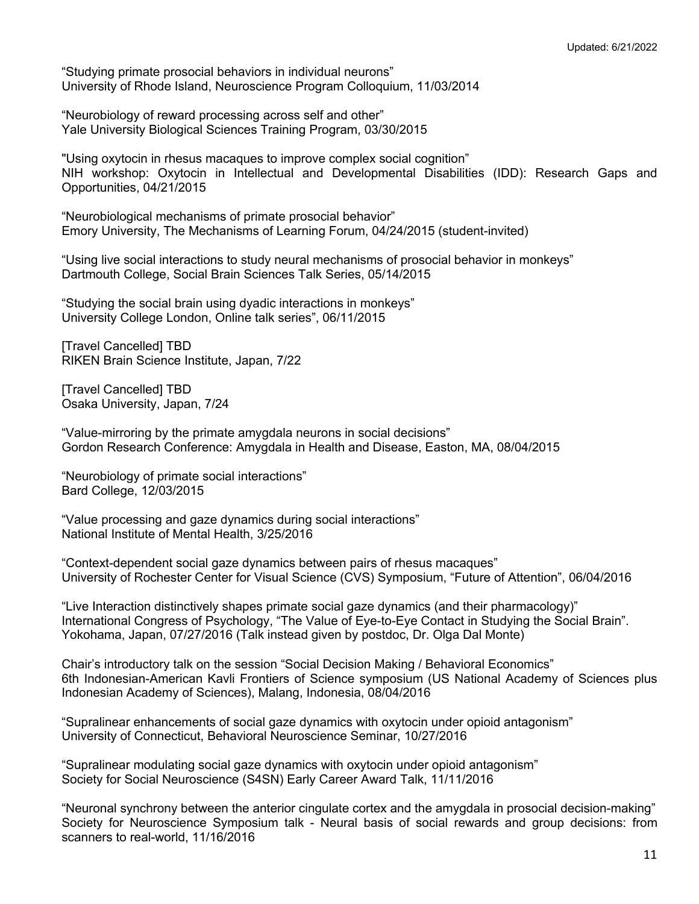"Studying primate prosocial behaviors in individual neurons" University of Rhode Island, Neuroscience Program Colloquium, 11/03/2014

"Neurobiology of reward processing across self and other" Yale University Biological Sciences Training Program, 03/30/2015

"Using oxytocin in rhesus macaques to improve complex social cognition" NIH workshop: Oxytocin in Intellectual and Developmental Disabilities (IDD): Research Gaps and Opportunities, 04/21/2015

"Neurobiological mechanisms of primate prosocial behavior" Emory University, The Mechanisms of Learning Forum, 04/24/2015 (student-invited)

"Using live social interactions to study neural mechanisms of prosocial behavior in monkeys" Dartmouth College, Social Brain Sciences Talk Series, 05/14/2015

"Studying the social brain using dyadic interactions in monkeys" University College London, Online talk series", 06/11/2015

[Travel Cancelled] TBD RIKEN Brain Science Institute, Japan, 7/22

[Travel Cancelled] TBD Osaka University, Japan, 7/24

"Value-mirroring by the primate amygdala neurons in social decisions" Gordon Research Conference: Amygdala in Health and Disease, Easton, MA, 08/04/2015

"Neurobiology of primate social interactions" Bard College, 12/03/2015

"Value processing and gaze dynamics during social interactions" National Institute of Mental Health, 3/25/2016

"Context-dependent social gaze dynamics between pairs of rhesus macaques" University of Rochester Center for Visual Science (CVS) Symposium, "Future of Attention", 06/04/2016

"Live Interaction distinctively shapes primate social gaze dynamics (and their pharmacology)" International Congress of Psychology, "The Value of Eye-to-Eye Contact in Studying the Social Brain". Yokohama, Japan, 07/27/2016 (Talk instead given by postdoc, Dr. Olga Dal Monte)

Chair's introductory talk on the session "Social Decision Making / Behavioral Economics" 6th Indonesian-American Kavli Frontiers of Science symposium (US National Academy of Sciences plus Indonesian Academy of Sciences), Malang, Indonesia, 08/04/2016

"Supralinear enhancements of social gaze dynamics with oxytocin under opioid antagonism" University of Connecticut, Behavioral Neuroscience Seminar, 10/27/2016

"Supralinear modulating social gaze dynamics with oxytocin under opioid antagonism" Society for Social Neuroscience (S4SN) Early Career Award Talk, 11/11/2016

"Neuronal synchrony between the anterior cingulate cortex and the amygdala in prosocial decision-making" Society for Neuroscience Symposium talk - Neural basis of social rewards and group decisions: from scanners to real-world, 11/16/2016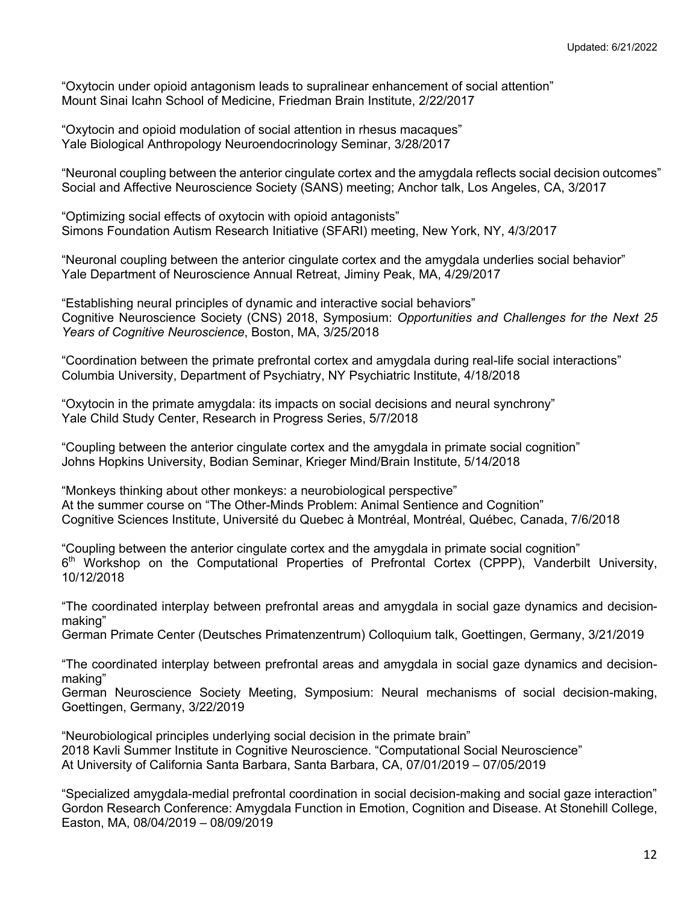"Oxytocin under opioid antagonism leads to supralinear enhancement of social attention" Mount Sinai Icahn School of Medicine, Friedman Brain Institute, 2/22/2017

"Oxytocin and opioid modulation of social attention in rhesus macaques" Yale Biological Anthropology Neuroendocrinology Seminar, 3/28/2017

"Neuronal coupling between the anterior cingulate cortex and the amygdala reflects social decision outcomes" Social and Affective Neuroscience Society (SANS) meeting; Anchor talk, Los Angeles, CA, 3/2017

"Optimizing social effects of oxytocin with opioid antagonists" Simons Foundation Autism Research Initiative (SFARI) meeting, New York, NY, 4/3/2017

"Neuronal coupling between the anterior cingulate cortex and the amygdala underlies social behavior" Yale Department of Neuroscience Annual Retreat, Jiminy Peak, MA, 4/29/2017

"Establishing neural principles of dynamic and interactive social behaviors" Cognitive Neuroscience Society (CNS) 2018, Symposium: *Opportunities and Challenges for the Next 25 Years of Cognitive Neuroscience*, Boston, MA, 3/25/2018

"Coordination between the primate prefrontal cortex and amygdala during real-life social interactions" Columbia University, Department of Psychiatry, NY Psychiatric Institute, 4/18/2018

"Oxytocin in the primate amygdala: its impacts on social decisions and neural synchrony" Yale Child Study Center, Research in Progress Series, 5/7/2018

"Coupling between the anterior cingulate cortex and the amygdala in primate social cognition" Johns Hopkins University, Bodian Seminar, Krieger Mind/Brain Institute, 5/14/2018

"Monkeys thinking about other monkeys: a neurobiological perspective" At the summer course on "The Other-Minds Problem: Animal Sentience and Cognition" Cognitive Sciences Institute, Université du Quebec à Montréal, Montréal, Québec, Canada, 7/6/2018

"Coupling between the anterior cingulate cortex and the amygdala in primate social cognition" 6th Workshop on the Computational Properties of Prefrontal Cortex (CPPP), Vanderbilt University, 10/12/2018

"The coordinated interplay between prefrontal areas and amygdala in social gaze dynamics and decisionmaking"

German Primate Center (Deutsches Primatenzentrum) Colloquium talk, Goettingen, Germany, 3/21/2019

"The coordinated interplay between prefrontal areas and amygdala in social gaze dynamics and decisionmaking"

German Neuroscience Society Meeting, Symposium: Neural mechanisms of social decision-making, Goettingen, Germany, 3/22/2019

"Neurobiological principles underlying social decision in the primate brain" 2018 Kavli Summer Institute in Cognitive Neuroscience. "Computational Social Neuroscience" At University of California Santa Barbara, Santa Barbara, CA, 07/01/2019 – 07/05/2019

"Specialized amygdala-medial prefrontal coordination in social decision-making and social gaze interaction" Gordon Research Conference: Amygdala Function in Emotion, Cognition and Disease. At Stonehill College, Easton, MA, 08/04/2019 – 08/09/2019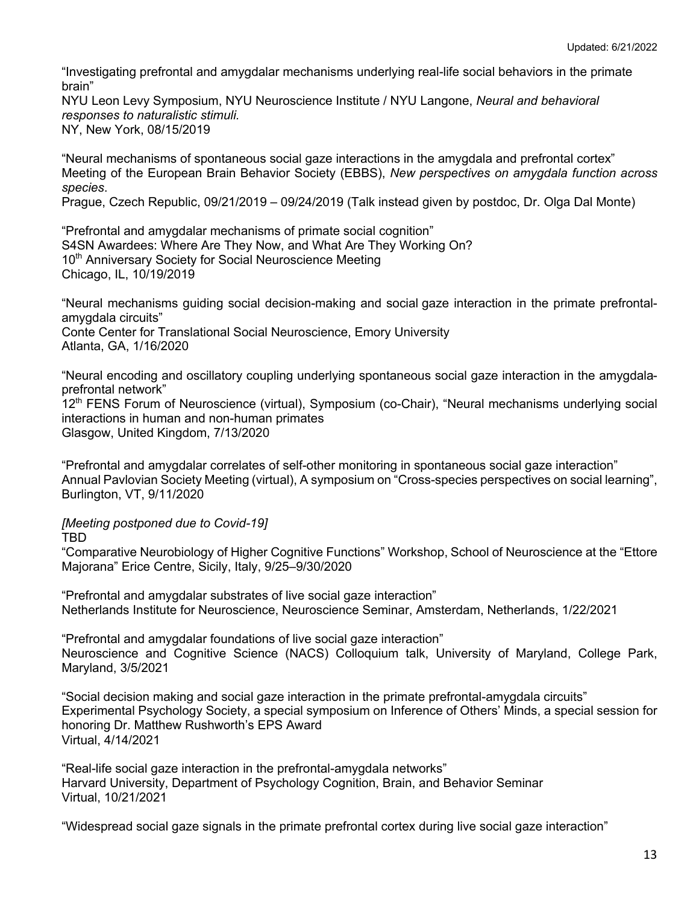"Investigating prefrontal and amygdalar mechanisms underlying real-life social behaviors in the primate brain"

NYU Leon Levy Symposium, NYU Neuroscience Institute / NYU Langone, *Neural and behavioral responses to naturalistic stimuli.* NY, New York, 08/15/2019

"Neural mechanisms of spontaneous social gaze interactions in the amygdala and prefrontal cortex" Meeting of the European Brain Behavior Society (EBBS), *New perspectives on amygdala function across species*.

Prague, Czech Republic, 09/21/2019 – 09/24/2019 (Talk instead given by postdoc, Dr. Olga Dal Monte)

"Prefrontal and amygdalar mechanisms of primate social cognition" S4SN Awardees: Where Are They Now, and What Are They Working On? 10<sup>th</sup> Anniversary Society for Social Neuroscience Meeting Chicago, IL, 10/19/2019

"Neural mechanisms guiding social decision-making and social gaze interaction in the primate prefrontalamygdala circuits" Conte Center for Translational Social Neuroscience, Emory University Atlanta, GA, 1/16/2020

"Neural encoding and oscillatory coupling underlying spontaneous social gaze interaction in the amygdalaprefrontal network"

12<sup>th</sup> FENS Forum of Neuroscience (virtual), Symposium (co-Chair), "Neural mechanisms underlying social interactions in human and non-human primates Glasgow, United Kingdom, 7/13/2020

"Prefrontal and amygdalar correlates of self-other monitoring in spontaneous social gaze interaction" Annual Pavlovian Society Meeting (virtual), A symposium on "Cross-species perspectives on social learning", Burlington, VT, 9/11/2020

*[Meeting postponed due to Covid-19]*

TBD

"Comparative Neurobiology of Higher Cognitive Functions" Workshop, School of Neuroscience at the "Ettore Majorana" Erice Centre, Sicily, Italy, 9/25–9/30/2020

"Prefrontal and amygdalar substrates of live social gaze interaction" Netherlands Institute for Neuroscience, Neuroscience Seminar, Amsterdam, Netherlands, 1/22/2021

"Prefrontal and amygdalar foundations of live social gaze interaction" Neuroscience and Cognitive Science (NACS) Colloquium talk, University of Maryland, College Park, Maryland, 3/5/2021

"Social decision making and social gaze interaction in the primate prefrontal-amygdala circuits" Experimental Psychology Society, a special symposium on Inference of Others' Minds, a special session for honoring Dr. Matthew Rushworth's EPS Award Virtual, 4/14/2021

"Real-life social gaze interaction in the prefrontal-amygdala networks" Harvard University, Department of Psychology Cognition, Brain, and Behavior Seminar Virtual, 10/21/2021

"Widespread social gaze signals in the primate prefrontal cortex during live social gaze interaction"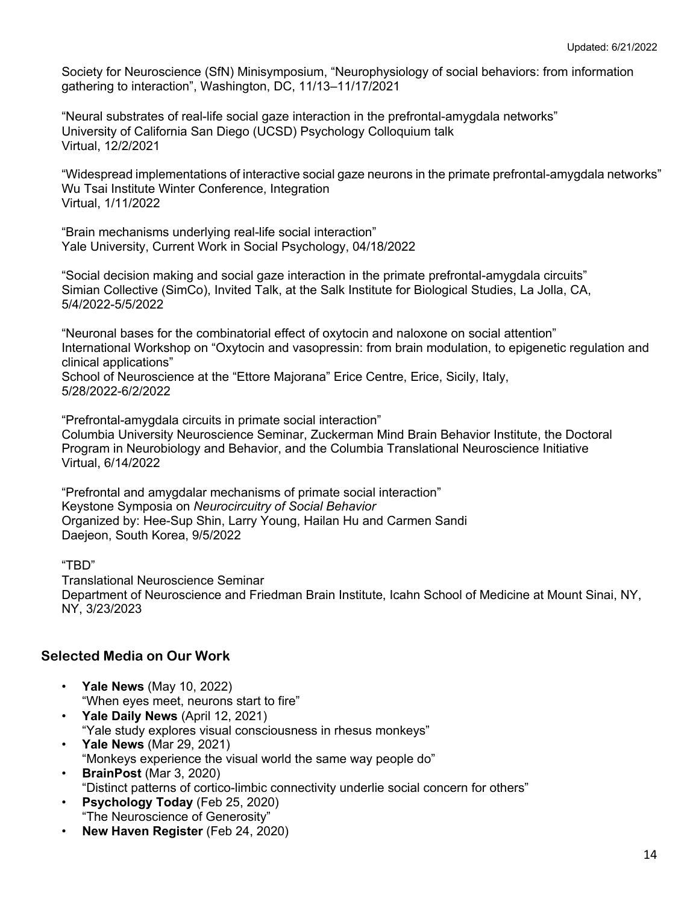Society for Neuroscience (SfN) Minisymposium, "Neurophysiology of social behaviors: from information gathering to interaction", Washington, DC, 11/13–11/17/2021

"Neural substrates of real-life social gaze interaction in the prefrontal-amygdala networks" University of California San Diego (UCSD) Psychology Colloquium talk Virtual, 12/2/2021

"Widespread implementations of interactive social gaze neurons in the primate prefrontal-amygdala networks" Wu Tsai Institute Winter Conference, Integration Virtual, 1/11/2022

"Brain mechanisms underlying real-life social interaction" Yale University, Current Work in Social Psychology, 04/18/2022

"Social decision making and social gaze interaction in the primate prefrontal-amygdala circuits" Simian Collective (SimCo), Invited Talk, at the Salk Institute for Biological Studies, La Jolla, CA, 5/4/2022-5/5/2022

"Neuronal bases for the combinatorial effect of oxytocin and naloxone on social attention" International Workshop on "Oxytocin and vasopressin: from brain modulation, to epigenetic regulation and clinical applications"

School of Neuroscience at the "Ettore Majorana" Erice Centre, Erice, Sicily, Italy, 5/28/2022-6/2/2022

"Prefrontal-amygdala circuits in primate social interaction" Columbia University Neuroscience Seminar, Zuckerman Mind Brain Behavior Institute, the Doctoral Program in Neurobiology and Behavior, and the Columbia Translational Neuroscience Initiative Virtual, 6/14/2022

"Prefrontal and amygdalar mechanisms of primate social interaction" Keystone Symposia on *Neurocircuitry of Social Behavior* Organized by: Hee-Sup Shin, Larry Young, Hailan Hu and Carmen Sandi Daejeon, South Korea, 9/5/2022

"TBD"

Translational Neuroscience Seminar Department of Neuroscience and Friedman Brain Institute, Icahn School of Medicine at Mount Sinai, NY, NY, 3/23/2023

# **Selected Media on Our Work**

- **Yale News** (May 10, 2022) "When eyes meet, neurons start to fire"
- **Yale Daily News** (April 12, 2021) "Yale study explores visual consciousness in rhesus monkeys"
- **Yale News** (Mar 29, 2021) "Monkeys experience the visual world the same way people do"
- **BrainPost** (Mar 3, 2020) "Distinct patterns of cortico-limbic connectivity underlie social concern for others"
- **Psychology Today** (Feb 25, 2020) "The Neuroscience of Generosity"
- **New Haven Register** (Feb 24, 2020)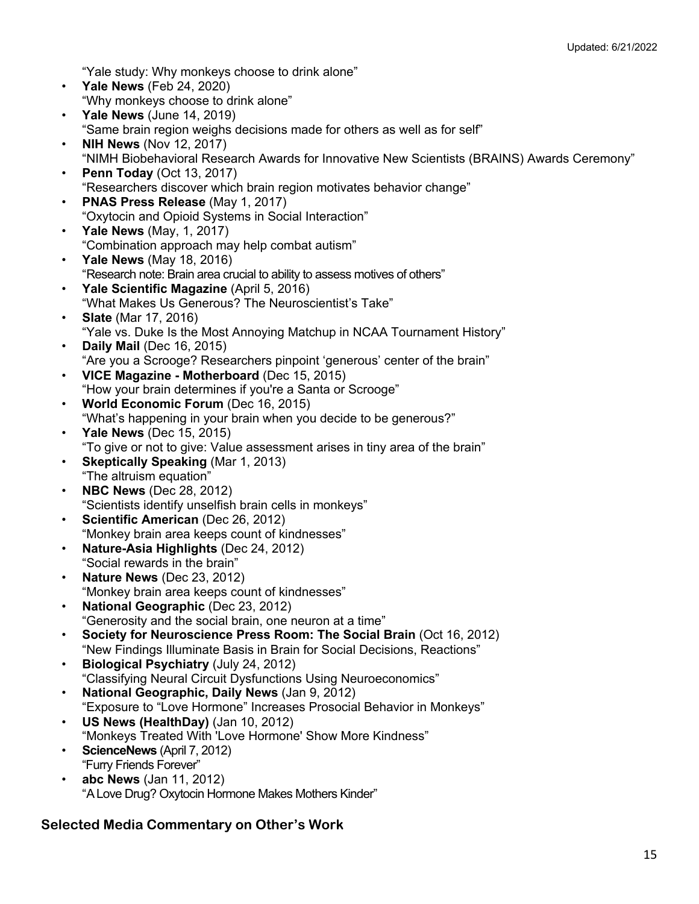"Yale study: Why monkeys choose to drink alone"

- **Yale News** (Feb 24, 2020) "Why monkeys choose to drink alone"
- **Yale News** (June 14, 2019) "Same brain region weighs decisions made for others as well as for self"
- **NIH News** (Nov 12, 2017) "NIMH Biobehavioral Research Awards for Innovative New Scientists (BRAINS) Awards Ceremony"
- **Penn Today** (Oct 13, 2017) "Researchers discover which brain region motivates behavior change"
- **PNAS Press Release** (May 1, 2017) "Oxytocin and Opioid Systems in Social Interaction"
- **Yale News** (May, 1, 2017) "Combination approach may help combat autism"
- **Yale News** (May 18, 2016) "Research note: Brain area crucial to ability to assess motives of others"
- **Yale Scientific Magazine** (April 5, 2016) "What Makes Us Generous? The Neuroscientist's Take"
- **Slate** (Mar 17, 2016) "Yale vs. Duke Is the Most Annoying Matchup in NCAA Tournament History"
- **Daily Mail** (Dec 16, 2015) "Are you a Scrooge? Researchers pinpoint 'generous' center of the brain"
- **VICE Magazine - Motherboard** (Dec 15, 2015) "How your brain determines if you're a Santa or Scrooge"
- **World Economic Forum** (Dec 16, 2015) "What's happening in your brain when you decide to be generous?"
- **Yale News** (Dec 15, 2015) "To give or not to give: Value assessment arises in tiny area of the brain"
- **Skeptically Speaking** (Mar 1, 2013) "The altruism equation"
- **NBC News** (Dec 28, 2012) "Scientists identify unselfish brain cells in monkeys"
- **Scientific American** (Dec 26, 2012) "Monkey brain area keeps count of kindnesses"
- **Nature-Asia Highlights** (Dec 24, 2012) "Social rewards in the brain"
- **Nature News** (Dec 23, 2012) "Monkey brain area keeps count of kindnesses"
- **National Geographic** (Dec 23, 2012) "Generosity and the social brain, one neuron at a time"
- **Society for Neuroscience Press Room: The Social Brain** (Oct 16, 2012) "New Findings Illuminate Basis in Brain for Social Decisions, Reactions"
- **Biological Psychiatry** (July 24, 2012) "Classifying Neural Circuit Dysfunctions Using Neuroeconomics"
- **National Geographic, Daily News** (Jan 9, 2012) "Exposure to "Love Hormone" Increases Prosocial Behavior in Monkeys"
- **US News (HealthDay)** (Jan 10, 2012) "Monkeys Treated With 'Love Hormone' Show More Kindness"
- **ScienceNews** (April 7, 2012) "Furry Friends Forever"
- **abc News** (Jan 11, 2012) "A Love Drug? Oxytocin Hormone Makes Mothers Kinder"

# **Selected Media Commentary on Other's Work**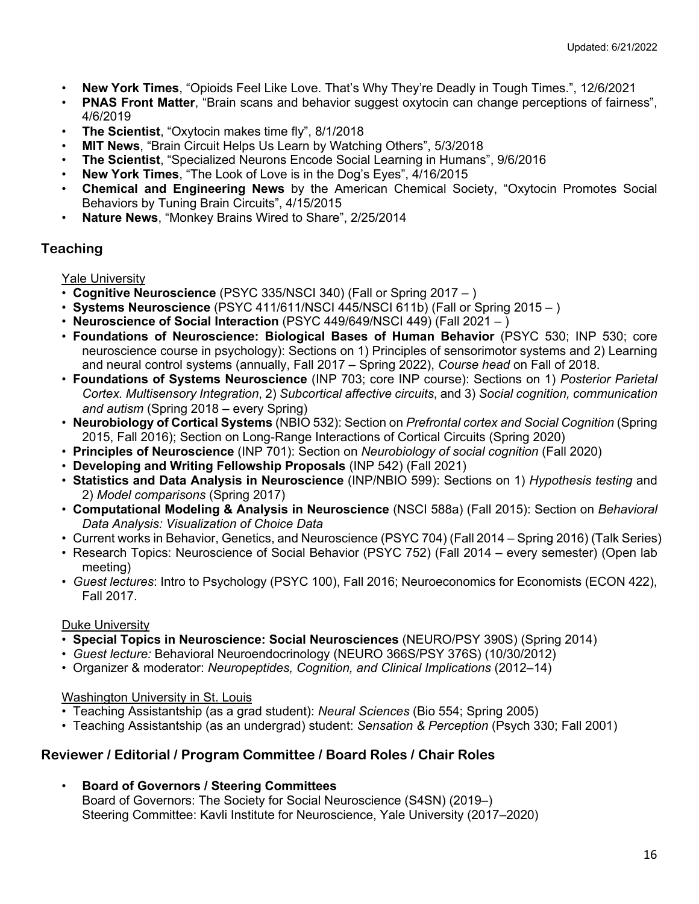- **New York Times**, "Opioids Feel Like Love. That's Why They're Deadly in Tough Times.", 12/6/2021
- **PNAS Front Matter**, "Brain scans and behavior suggest oxytocin can change perceptions of fairness", 4/6/2019
- **The Scientist**, "Oxytocin makes time fly", 8/1/2018
- **MIT News**, "Brain Circuit Helps Us Learn by Watching Others", 5/3/2018
- **The Scientist**, "Specialized Neurons Encode Social Learning in Humans", 9/6/2016
- **New York Times**, "The Look of Love is in the Dog's Eyes", 4/16/2015
- **Chemical and Engineering News** by the American Chemical Society, "Oxytocin Promotes Social Behaviors by Tuning Brain Circuits", 4/15/2015
- **Nature News**, "Monkey Brains Wired to Share", 2/25/2014

# **Teaching**

Yale University

- **Cognitive Neuroscience** (PSYC 335/NSCI 340) (Fall or Spring 2017 )
- **Systems Neuroscience** (PSYC 411/611/NSCI 445/NSCI 611b) (Fall or Spring 2015 )
- **Neuroscience of Social Interaction** (PSYC 449/649/NSCI 449) (Fall 2021 )
- **Foundations of Neuroscience: Biological Bases of Human Behavior** (PSYC 530; INP 530; core neuroscience course in psychology): Sections on 1) Principles of sensorimotor systems and 2) Learning and neural control systems (annually, Fall 2017 – Spring 2022), *Course head* on Fall of 2018.
- **Foundations of Systems Neuroscience** (INP 703; core INP course): Sections on 1) *Posterior Parietal Cortex. Multisensory Integration*, 2) *Subcortical affective circuits*, and 3) *Social cognition, communication and autism* (Spring 2018 – every Spring)
- **Neurobiology of Cortical Systems** (NBIO 532): Section on *Prefrontal cortex and Social Cognition* (Spring 2015, Fall 2016); Section on Long-Range Interactions of Cortical Circuits (Spring 2020)
- **Principles of Neuroscience** (INP 701): Section on *Neurobiology of social cognition* (Fall 2020)
- **Developing and Writing Fellowship Proposals** (INP 542) (Fall 2021)
- **Statistics and Data Analysis in Neuroscience** (INP/NBIO 599): Sections on 1) *Hypothesis testing* and 2) *Model comparisons* (Spring 2017)
- **Computational Modeling & Analysis in Neuroscience** (NSCI 588a) (Fall 2015): Section on *Behavioral Data Analysis: Visualization of Choice Data*
- Current works in Behavior, Genetics, and Neuroscience (PSYC 704) (Fall 2014 Spring 2016) (Talk Series)
- Research Topics: Neuroscience of Social Behavior (PSYC 752) (Fall 2014 every semester) (Open lab meeting)
- *Guest lectures*: Intro to Psychology (PSYC 100), Fall 2016; Neuroeconomics for Economists (ECON 422), Fall 2017.

# Duke University

- **Special Topics in Neuroscience: Social Neurosciences** (NEURO/PSY 390S) (Spring 2014)
- *Guest lecture:* Behavioral Neuroendocrinology (NEURO 366S/PSY 376S) (10/30/2012)
- Organizer & moderator: *Neuropeptides, Cognition, and Clinical Implications* (2012–14)

# Washington University in St. Louis

- Teaching Assistantship (as a grad student): *Neural Sciences* (Bio 554; Spring 2005)
- Teaching Assistantship (as an undergrad) student: *Sensation & Perception* (Psych 330; Fall 2001)

# **Reviewer / Editorial / Program Committee / Board Roles / Chair Roles**

• **Board of Governors / Steering Committees**

Board of Governors: The Society for Social Neuroscience (S4SN) (2019–) Steering Committee: Kavli Institute for Neuroscience, Yale University (2017–2020)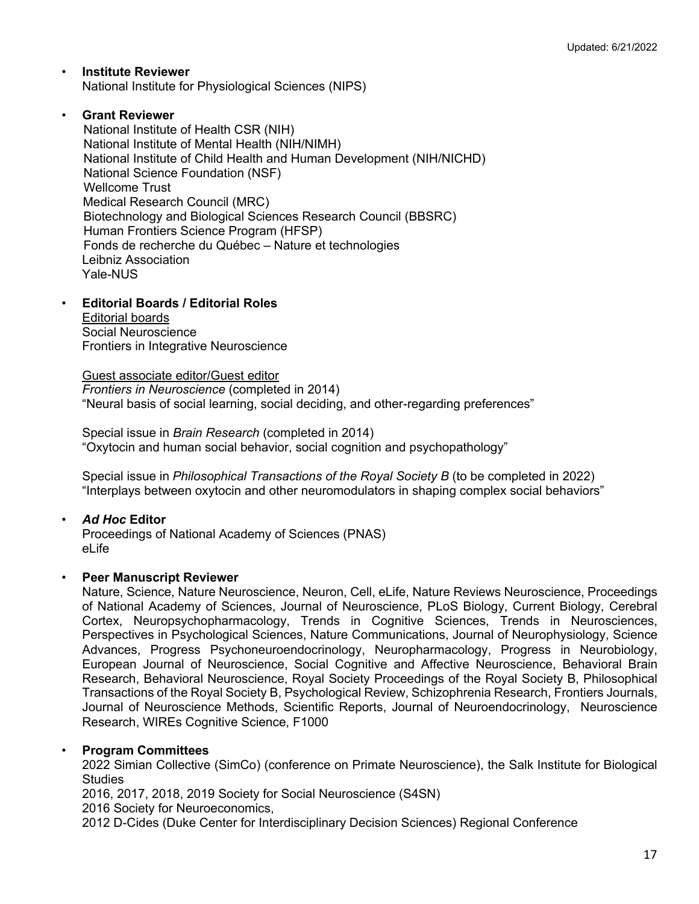- **Institute Reviewer** National Institute for Physiological Sciences (NIPS)
- **Grant Reviewer**

 National Institute of Health CSR (NIH) National Institute of Mental Health (NIH/NIMH) National Institute of Child Health and Human Development (NIH/NICHD) National Science Foundation (NSF) Wellcome Trust Medical Research Council (MRC) Biotechnology and Biological Sciences Research Council (BBSRC) Human Frontiers Science Program (HFSP) Fonds de recherche du Québec – Nature et technologies Leibniz Association Yale-NUS

# • **Editorial Boards / Editorial Roles**

Editorial boards Social Neuroscience Frontiers in Integrative Neuroscience

Guest associate editor/Guest editor *Frontiers in Neuroscience* (completed in 2014) "Neural basis of social learning, social deciding, and other-regarding preferences"

Special issue in *Brain Research* (completed in 2014) "Oxytocin and human social behavior, social cognition and psychopathology"

Special issue in *Philosophical Transactions of the Royal Society B* (to be completed in 2022) "Interplays between oxytocin and other neuromodulators in shaping complex social behaviors"

# • *Ad Hoc* **Editor**

Proceedings of National Academy of Sciences (PNAS) eLife

# • **Peer Manuscript Reviewer**

Nature, Science, Nature Neuroscience, Neuron, Cell, eLife, Nature Reviews Neuroscience, Proceedings of National Academy of Sciences, Journal of Neuroscience, PLoS Biology, Current Biology, Cerebral Cortex, Neuropsychopharmacology, Trends in Cognitive Sciences, Trends in Neurosciences, Perspectives in Psychological Sciences, Nature Communications, Journal of Neurophysiology, Science Advances, Progress Psychoneuroendocrinology, Neuropharmacology, Progress in Neurobiology, European Journal of Neuroscience, Social Cognitive and Affective Neuroscience, Behavioral Brain Research, Behavioral Neuroscience, Royal Society Proceedings of the Royal Society B, Philosophical Transactions of the Royal Society B, Psychological Review, Schizophrenia Research, Frontiers Journals, Journal of Neuroscience Methods, Scientific Reports, Journal of Neuroendocrinology, Neuroscience Research, WIREs Cognitive Science, F1000

# • **Program Committees**

2022 Simian Collective (SimCo) (conference on Primate Neuroscience), the Salk Institute for Biological **Studies** 

2016, 2017, 2018, 2019 Society for Social Neuroscience (S4SN) 2016 Society for Neuroeconomics,

2012 D-Cides (Duke Center for Interdisciplinary Decision Sciences) Regional Conference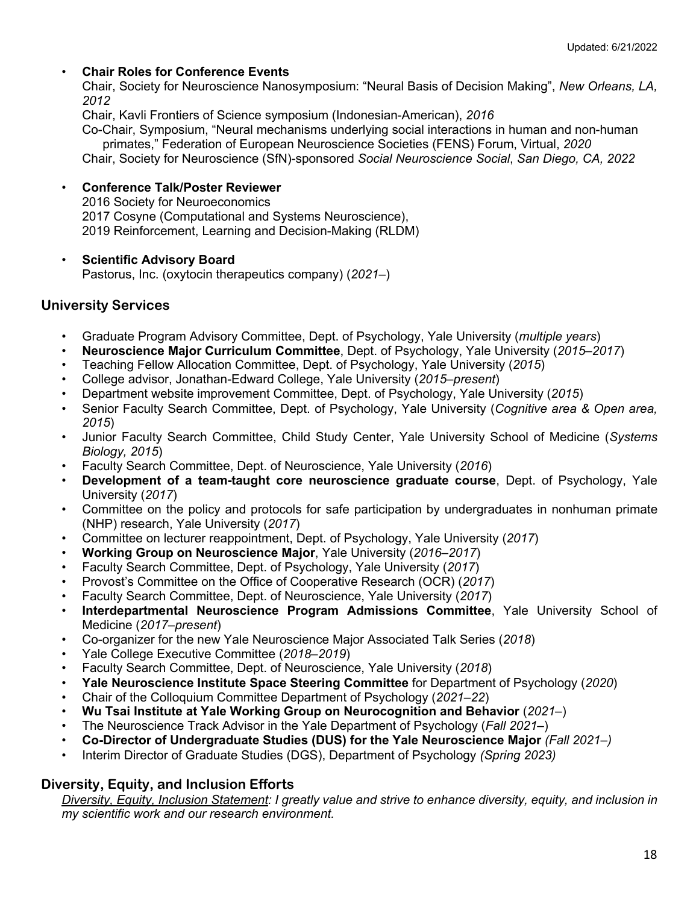### • **Chair Roles for Conference Events**

Chair, Society for Neuroscience Nanosymposium: "Neural Basis of Decision Making", *New Orleans, LA, 2012*

Chair, Kavli Frontiers of Science symposium (Indonesian-American), *2016*

Co-Chair, Symposium, "Neural mechanisms underlying social interactions in human and non-human primates," Federation of European Neuroscience Societies (FENS) Forum, Virtual, *2020* Chair, Society for Neuroscience (SfN)-sponsored *Social Neuroscience Social*, *San Diego, CA, 2022*

#### • **Conference Talk/Poster Reviewer**

2016 Society for Neuroeconomics 2017 Cosyne (Computational and Systems Neuroscience), 2019 Reinforcement, Learning and Decision-Making (RLDM)

#### • **Scientific Advisory Board**

Pastorus, Inc. (oxytocin therapeutics company) (*2021–*)

### **University Services**

- Graduate Program Advisory Committee, Dept. of Psychology, Yale University (*multiple years*)
- **Neuroscience Major Curriculum Committee**, Dept. of Psychology, Yale University (*2015*–*2017*)
- Teaching Fellow Allocation Committee, Dept. of Psychology, Yale University (*2015*)
- College advisor, Jonathan-Edward College, Yale University (*2015*–*present*)
- Department website improvement Committee, Dept. of Psychology, Yale University (*2015*)
- Senior Faculty Search Committee, Dept. of Psychology, Yale University (*Cognitive area & Open area, 2015*)
- Junior Faculty Search Committee, Child Study Center, Yale University School of Medicine (*Systems Biology, 2015*)
- Faculty Search Committee, Dept. of Neuroscience, Yale University (*2016*)
- **Development of a team-taught core neuroscience graduate course**, Dept. of Psychology, Yale University (*2017*)
- Committee on the policy and protocols for safe participation by undergraduates in nonhuman primate (NHP) research, Yale University (*2017*)
- Committee on lecturer reappointment, Dept. of Psychology, Yale University (*2017*)
- **Working Group on Neuroscience Major**, Yale University (*2016*–*2017*)
- Faculty Search Committee, Dept. of Psychology, Yale University (*2017*)
- Provost's Committee on the Office of Cooperative Research (OCR) (*2017*)
- Faculty Search Committee, Dept. of Neuroscience, Yale University (*2017*)
- **Interdepartmental Neuroscience Program Admissions Committee**, Yale University School of Medicine (*2017*–*present*)
- Co-organizer for the new Yale Neuroscience Major Associated Talk Series (*2018*)
- Yale College Executive Committee (*2018*–*2019*)
- Faculty Search Committee, Dept. of Neuroscience, Yale University (*2018*)
- **Yale Neuroscience Institute Space Steering Committee** for Department of Psychology (*2020*)
- Chair of the Colloquium Committee Department of Psychology (*2021–22*)
- **Wu Tsai Institute at Yale Working Group on Neurocognition and Behavior** (*2021–*)
- The Neuroscience Track Advisor in the Yale Department of Psychology (*Fall 2021–*)
- **Co-Director of Undergraduate Studies (DUS) for the Yale Neuroscience Major** *(Fall 2021–)*
- Interim Director of Graduate Studies (DGS), Department of Psychology *(Spring 2023)*

# **Diversity, Equity, and Inclusion Efforts**

*Diversity, Equity, Inclusion Statement: I greatly value and strive to enhance diversity, equity, and inclusion in my scientific work and our research environment.*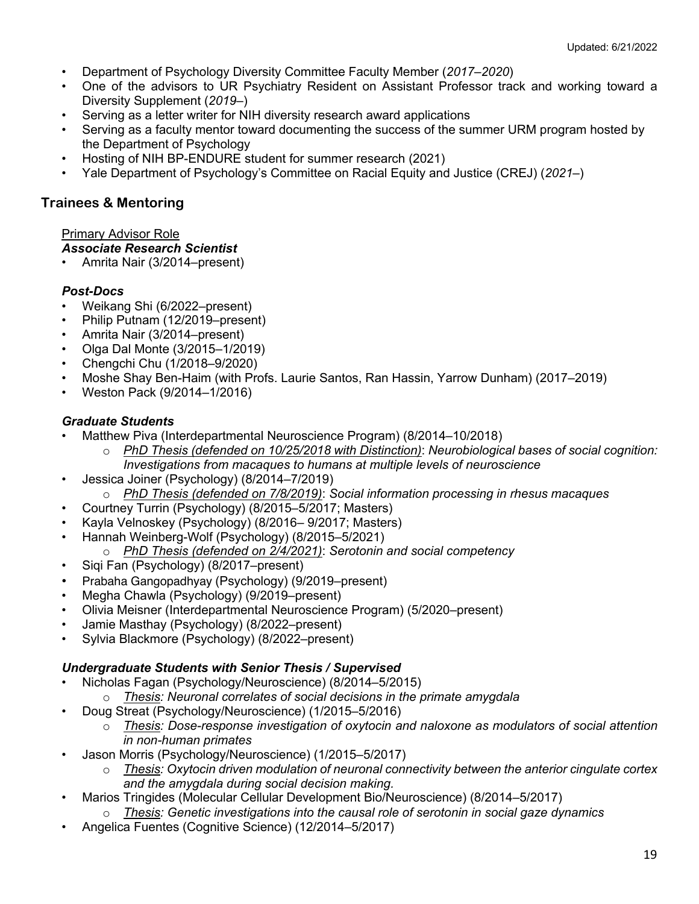- Department of Psychology Diversity Committee Faculty Member (*2017*–*2020*)
- One of the advisors to UR Psychiatry Resident on Assistant Professor track and working toward a Diversity Supplement (*2019–*)
- Serving as a letter writer for NIH diversity research award applications
- Serving as a faculty mentor toward documenting the success of the summer URM program hosted by the Department of Psychology
- Hosting of NIH BP-ENDURE student for summer research (2021)
- Yale Department of Psychology's Committee on Racial Equity and Justice (CREJ) (*2021–*)

# **Trainees & Mentoring**

### Primary Advisor Role

### *Associate Research Scientist*

• Amrita Nair (3/2014–present)

# *Post-Docs*

- Weikang Shi (6/2022–present)
- Philip Putnam (12/2019–present)
- Amrita Nair (3/2014–present)
- Olga Dal Monte (3/2015–1/2019)
- Chengchi Chu (1/2018–9/2020)
- Moshe Shay Ben-Haim (with Profs. Laurie Santos, Ran Hassin, Yarrow Dunham) (2017–2019)
- Weston Pack (9/2014–1/2016)

# *Graduate Students*

- Matthew Piva (Interdepartmental Neuroscience Program) (8/2014–10/2018)
	- o *PhD Thesis (defended on 10/25/2018 with Distinction)*: *Neurobiological bases of social cognition: Investigations from macaques to humans at multiple levels of neuroscience*
- Jessica Joiner (Psychology) (8/2014–7/2019)
	- o *PhD Thesis (defended on 7/8/2019)*: *Social information processing in rhesus macaques*
- Courtney Turrin (Psychology) (8/2015–5/2017; Masters)
- Kayla Velnoskey (Psychology) (8/2016– 9/2017; Masters)
- Hannah Weinberg-Wolf (Psychology) (8/2015–5/2021)
	- o *PhD Thesis (defended on 2/4/2021)*: *Serotonin and social competency*
- Siqi Fan (Psychology) (8/2017–present)
- Prabaha Gangopadhyay (Psychology) (9/2019–present)
- Megha Chawla (Psychology) (9/2019–present)
- Olivia Meisner (Interdepartmental Neuroscience Program) (5/2020–present)
- Jamie Masthay (Psychology) (8/2022–present)
- Sylvia Blackmore (Psychology) (8/2022–present)

# *Undergraduate Students with Senior Thesis / Supervised*

- Nicholas Fagan (Psychology/Neuroscience) (8/2014–5/2015)
	- o *Thesis: Neuronal correlates of social decisions in the primate amygdala*
	- Doug Streat (Psychology/Neuroscience) (1/2015–5/2016)
		- o *Thesis: Dose-response investigation of oxytocin and naloxone as modulators of social attention in non-human primates*
- Jason Morris (Psychology/Neuroscience) (1/2015–5/2017)
	- o *Thesis: Oxytocin driven modulation of neuronal connectivity between the anterior cingulate cortex and the amygdala during social decision making.*
- Marios Tringides (Molecular Cellular Development Bio/Neuroscience) (8/2014–5/2017)
	- o *Thesis: Genetic investigations into the causal role of serotonin in social gaze dynamics*
- Angelica Fuentes (Cognitive Science) (12/2014–5/2017)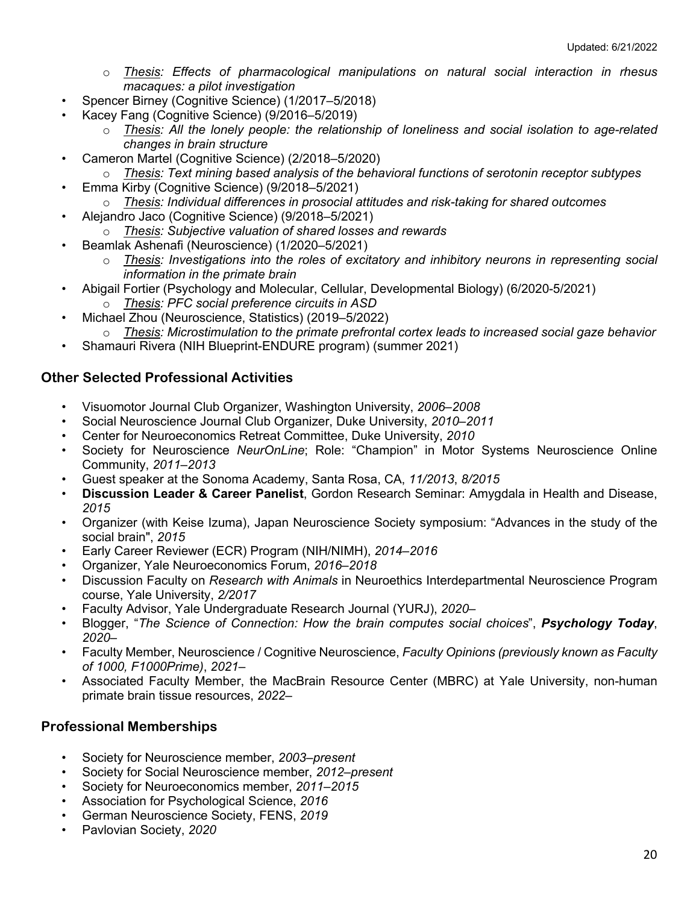- o *Thesis: Effects of pharmacological manipulations on natural social interaction in rhesus macaques: a pilot investigation*
- Spencer Birney (Cognitive Science) (1/2017–5/2018)
- Kacey Fang (Cognitive Science) (9/2016–5/2019)
	- o *Thesis: All the lonely people: the relationship of loneliness and social isolation to age-related changes in brain structure*
- Cameron Martel (Cognitive Science) (2/2018–5/2020)
	- o *Thesis: Text mining based analysis of the behavioral functions of serotonin receptor subtypes*
- Emma Kirby (Cognitive Science) (9/2018–5/2021)
	- o *Thesis: Individual differences in prosocial attitudes and risk-taking for shared outcomes*
- Alejandro Jaco (Cognitive Science) (9/2018–5/2021)
	- o *Thesis: Subjective valuation of shared losses and rewards*
- Beamlak Ashenafi (Neuroscience) (1/2020–5/2021)
	- o *Thesis: Investigations into the roles of excitatory and inhibitory neurons in representing social information in the primate brain*
- Abigail Fortier (Psychology and Molecular, Cellular, Developmental Biology) (6/2020-5/2021) o *Thesis: PFC social preference circuits in ASD*
- Michael Zhou (Neuroscience, Statistics) (2019–5/2022)
- o *Thesis: Microstimulation to the primate prefrontal cortex leads to increased social gaze behavior*
- Shamauri Rivera (NIH Blueprint-ENDURE program) (summer 2021)

### **Other Selected Professional Activities**

- Visuomotor Journal Club Organizer, Washington University, *2006*–*2008*
- Social Neuroscience Journal Club Organizer, Duke University, *2010*–*2011*
- Center for Neuroeconomics Retreat Committee, Duke University, *2010*
- Society for Neuroscience *NeurOnLine*; Role: "Champion" in Motor Systems Neuroscience Online Community, *2011*–*2013*
- Guest speaker at the Sonoma Academy, Santa Rosa, CA, *11/2013*, *8/2015*
- **Discussion Leader & Career Panelist**, Gordon Research Seminar: Amygdala in Health and Disease, *2015*
- Organizer (with Keise Izuma), Japan Neuroscience Society symposium: "Advances in the study of the social brain", *2015*
- Early Career Reviewer (ECR) Program (NIH/NIMH), *2014–2016*
- Organizer, Yale Neuroeconomics Forum, *2016*–*2018*
- Discussion Faculty on *Research with Animals* in Neuroethics Interdepartmental Neuroscience Program course, Yale University, *2/2017*
- Faculty Advisor, Yale Undergraduate Research Journal (YURJ), *2020–*
- Blogger, "*The Science of Connection: How the brain computes social choices*", *Psychology Today*, *2020–*
- Faculty Member, Neuroscience / Cognitive Neuroscience, *Faculty Opinions (previously known as Faculty of 1000, F1000Prime)*, *2021–*
- Associated Faculty Member, the MacBrain Resource Center (MBRC) at Yale University, non-human primate brain tissue resources, *2022–*

### **Professional Memberships**

- Society for Neuroscience member, *2003*–*present*
- Society for Social Neuroscience member, *2012*–*present*
- Society for Neuroeconomics member, *2011*–*2015*
- Association for Psychological Science, *2016*
- German Neuroscience Society, FENS, *2019*
- Pavlovian Society, *2020*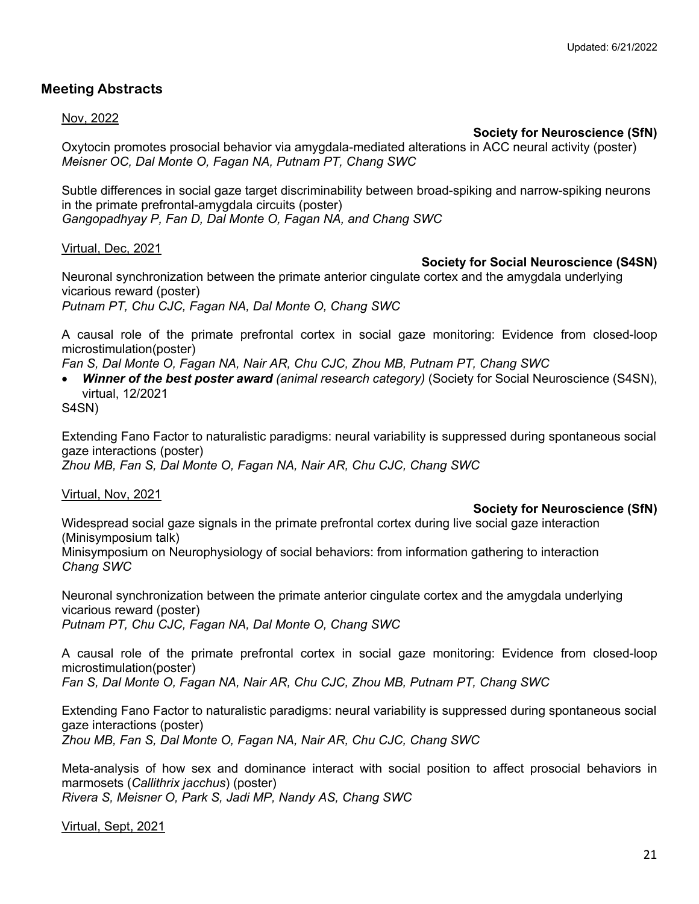# **Meeting Abstracts**

#### Nov, 2022

### **Society for Neuroscience (SfN)**

Oxytocin promotes prosocial behavior via amygdala-mediated alterations in ACC neural activity (poster) *Meisner OC, Dal Monte O, Fagan NA, Putnam PT, Chang SWC*

Subtle differences in social gaze target discriminability between broad-spiking and narrow-spiking neurons in the primate prefrontal-amygdala circuits (poster) *Gangopadhyay P, Fan D, Dal Monte O, Fagan NA, and Chang SWC*

Virtual, Dec, 2021

### **Society for Social Neuroscience (S4SN)**

Neuronal synchronization between the primate anterior cingulate cortex and the amygdala underlying vicarious reward (poster)

*Putnam PT, Chu CJC, Fagan NA, Dal Monte O, Chang SWC*

A causal role of the primate prefrontal cortex in social gaze monitoring: Evidence from closed-loop microstimulation(poster)

*Fan S, Dal Monte O, Fagan NA, Nair AR, Chu CJC, Zhou MB, Putnam PT, Chang SWC*

• *Winner of the best poster award (animal research category)* (Society for Social Neuroscience (S4SN), virtual, 12/2021

S4SN)

Extending Fano Factor to naturalistic paradigms: neural variability is suppressed during spontaneous social gaze interactions (poster) *Zhou MB, Fan S, Dal Monte O, Fagan NA, Nair AR, Chu CJC, Chang SWC*

Virtual, Nov, 2021

### **Society for Neuroscience (SfN)**

Widespread social gaze signals in the primate prefrontal cortex during live social gaze interaction (Minisymposium talk)

Minisymposium on Neurophysiology of social behaviors: from information gathering to interaction *Chang SWC* 

Neuronal synchronization between the primate anterior cingulate cortex and the amygdala underlying vicarious reward (poster) *Putnam PT, Chu CJC, Fagan NA, Dal Monte O, Chang SWC*

A causal role of the primate prefrontal cortex in social gaze monitoring: Evidence from closed-loop microstimulation(poster)

*Fan S, Dal Monte O, Fagan NA, Nair AR, Chu CJC, Zhou MB, Putnam PT, Chang SWC*

Extending Fano Factor to naturalistic paradigms: neural variability is suppressed during spontaneous social gaze interactions (poster) *Zhou MB, Fan S, Dal Monte O, Fagan NA, Nair AR, Chu CJC, Chang SWC*

Meta-analysis of how sex and dominance interact with social position to affect prosocial behaviors in marmosets (*Callithrix jacchus*) (poster) *Rivera S, Meisner O, Park S, Jadi MP, Nandy AS, Chang SWC*

Virtual, Sept, 2021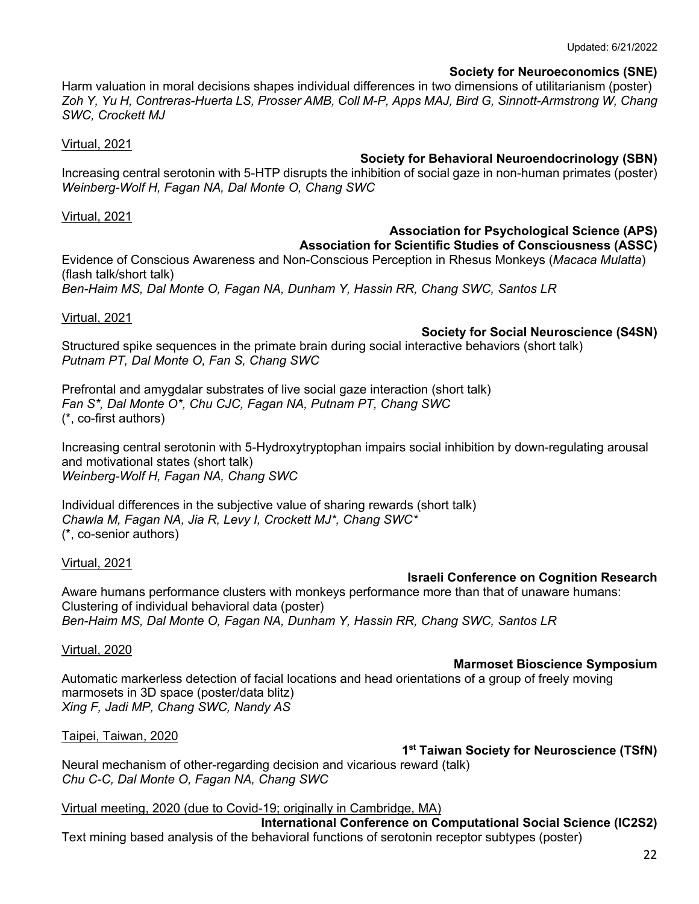#### **Society for Neuroeconomics (SNE)**

Harm valuation in moral decisions shapes individual differences in two dimensions of utilitarianism (poster) *Zoh Y, Yu H, Contreras-Huerta LS, Prosser AMB, Coll M-P, Apps MAJ, Bird G, Sinnott-Armstrong W, Chang SWC, Crockett MJ*

Virtual, 2021

#### **Society for Behavioral Neuroendocrinology (SBN)**

Increasing central serotonin with 5-HTP disrupts the inhibition of social gaze in non-human primates (poster) *Weinberg-Wolf H, Fagan NA, Dal Monte O, Chang SWC*

Virtual, 2021

#### **Association for Psychological Science (APS)**

**Association for Scientific Studies of Consciousness (ASSC)** Evidence of Conscious Awareness and Non-Conscious Perception in Rhesus Monkeys (*Macaca Mulatta*)

(flash talk/short talk) *Ben-Haim MS, Dal Monte O, Fagan NA, Dunham Y, Hassin RR, Chang SWC, Santos LR*

Virtual, 2021

### **Society for Social Neuroscience (S4SN)**

Structured spike sequences in the primate brain during social interactive behaviors (short talk) *Putnam PT, Dal Monte O, Fan S, Chang SWC*

Prefrontal and amygdalar substrates of live social gaze interaction (short talk) *Fan S\*, Dal Monte O\*, Chu CJC, Fagan NA, Putnam PT, Chang SWC* (\*, co-first authors)

Increasing central serotonin with 5-Hydroxytryptophan impairs social inhibition by down-regulating arousal and motivational states (short talk) *Weinberg-Wolf H, Fagan NA, Chang SWC*

Individual differences in the subjective value of sharing rewards (short talk) *Chawla M, Fagan NA, Jia R, Levy I, Crockett MJ\*, Chang SWC\** (\*, co-senior authors)

Virtual, 2021

### **Israeli Conference on Cognition Research**

Aware humans performance clusters with monkeys performance more than that of unaware humans: Clustering of individual behavioral data (poster) *Ben-Haim MS, Dal Monte O, Fagan NA, Dunham Y, Hassin RR, Chang SWC, Santos LR*

Virtual, 2020

### **Marmoset Bioscience Symposium**

Automatic markerless detection of facial locations and head orientations of a group of freely moving marmosets in 3D space (poster/data blitz) *Xing F, Jadi MP, Chang SWC, Nandy AS*

Taipei, Taiwan, 2020

**1st Taiwan Society for Neuroscience (TSfN)**

Neural mechanism of other-regarding decision and vicarious reward (talk) *Chu C-C, Dal Monte O, Fagan NA, Chang SWC*

Virtual meeting, 2020 (due to Covid-19; originally in Cambridge, MA)

**International Conference on Computational Social Science (IC2S2)** Text mining based analysis of the behavioral functions of serotonin receptor subtypes (poster)

22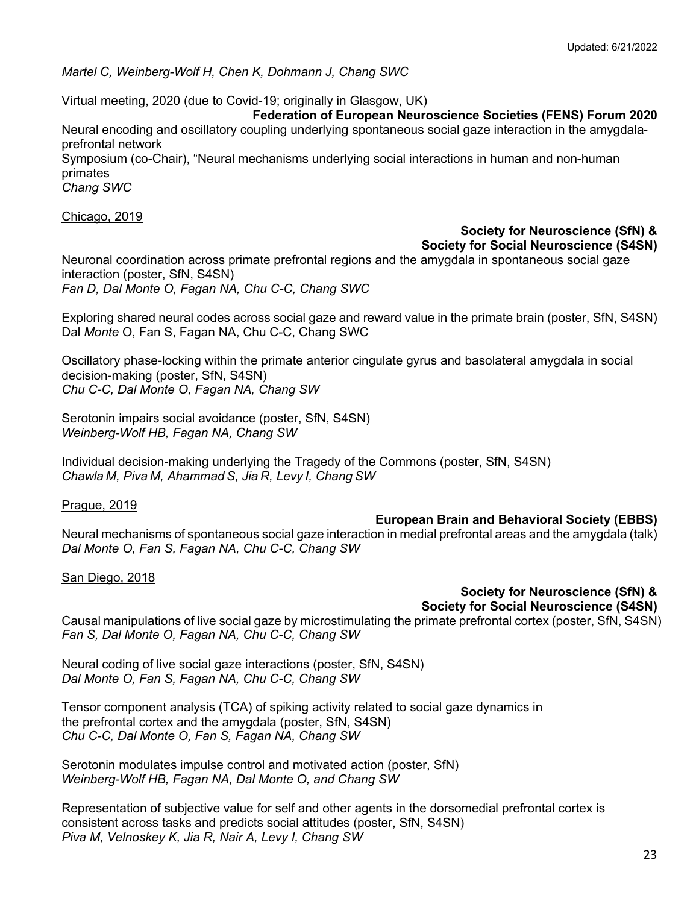*Martel C, Weinberg-Wolf H, Chen K, Dohmann J, Chang SWC*

Virtual meeting, 2020 (due to Covid-19; originally in Glasgow, UK)

#### **Federation of European Neuroscience Societies (FENS) Forum 2020**

Neural encoding and oscillatory coupling underlying spontaneous social gaze interaction in the amygdalaprefrontal network

Symposium (co-Chair), "Neural mechanisms underlying social interactions in human and non-human primates

*Chang SWC*

#### Chicago, 2019

### **Society for Neuroscience (SfN) & Society for Social Neuroscience (S4SN)**

Neuronal coordination across primate prefrontal regions and the amygdala in spontaneous social gaze interaction (poster, SfN, S4SN) *Fan D, Dal Monte O, Fagan NA, Chu C-C, Chang SWC*

Exploring shared neural codes across social gaze and reward value in the primate brain (poster, SfN, S4SN) Dal *Monte* O, Fan S, Fagan NA, Chu C-C, Chang SWC

Oscillatory phase-locking within the primate anterior cingulate gyrus and basolateral amygdala in social decision-making (poster, SfN, S4SN) *Chu C-C, Dal Monte O, Fagan NA, Chang SW*

Serotonin impairs social avoidance (poster, SfN, S4SN) *Weinberg-Wolf HB, Fagan NA, Chang SW*

Individual decision-making underlying the Tragedy of the Commons (poster, SfN, S4SN) *Chawla M, Piva M, Ahammad S, Jia R, Levy I, Chang SW*

Prague, 2019

### **European Brain and Behavioral Society (EBBS)**

Neural mechanisms of spontaneous social gaze interaction in medial prefrontal areas and the amygdala (talk) *Dal Monte O, Fan S, Fagan NA, Chu C-C, Chang SW*

San Diego, 2018

# **Society for Neuroscience (SfN) &**

**Society for Social Neuroscience (S4SN)**

Causal manipulations of live social gaze by microstimulating the primate prefrontal cortex (poster, SfN, S4SN) *Fan S, Dal Monte O, Fagan NA, Chu C-C, Chang SW*

Neural coding of live social gaze interactions (poster, SfN, S4SN) *Dal Monte O, Fan S, Fagan NA, Chu C-C, Chang SW*

Tensor component analysis (TCA) of spiking activity related to social gaze dynamics in the prefrontal cortex and the amygdala (poster, SfN, S4SN) *Chu C-C, Dal Monte O, Fan S, Fagan NA, Chang SW*

Serotonin modulates impulse control and motivated action (poster, SfN) *Weinberg-Wolf HB, Fagan NA, Dal Monte O, and Chang SW*

Representation of subjective value for self and other agents in the dorsomedial prefrontal cortex is consistent across tasks and predicts social attitudes (poster, SfN, S4SN) *Piva M, Velnoskey K, Jia R, Nair A, Levy I, Chang SW*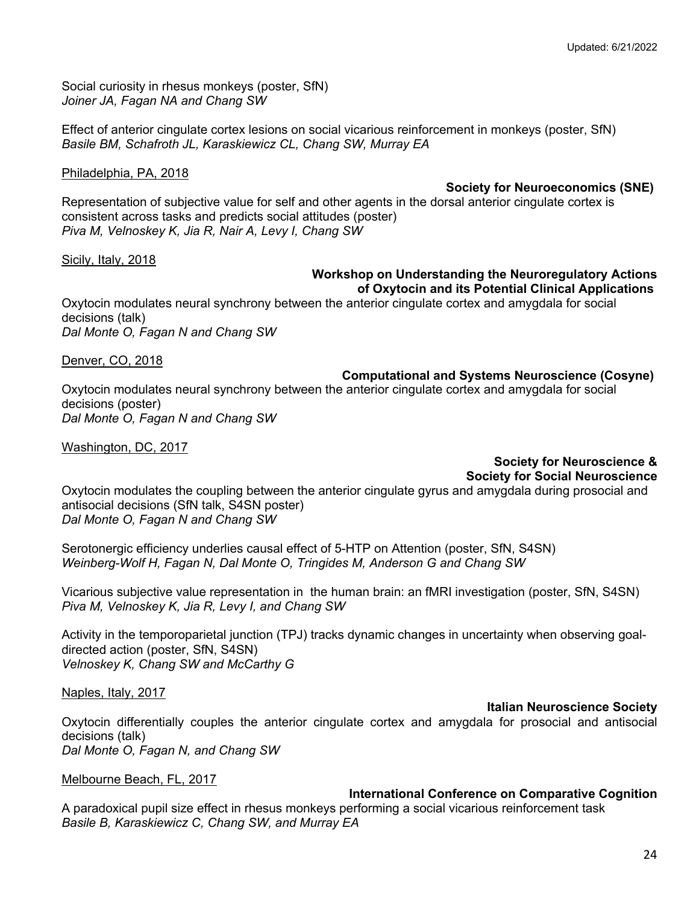Social curiosity in rhesus monkeys (poster, SfN) *Joiner JA, Fagan NA and Chang SW*

Effect of anterior cingulate cortex lesions on social vicarious reinforcement in monkeys (poster, SfN) *Basile BM, Schafroth JL, Karaskiewicz CL, Chang SW, Murray EA*

#### Philadelphia, PA, 2018

**Society for Neuroeconomics (SNE)**

Representation of subjective value for self and other agents in the dorsal anterior cingulate cortex is consistent across tasks and predicts social attitudes (poster) *Piva M, Velnoskey K, Jia R, Nair A, Levy I, Chang SW*

Sicily, Italy, 2018

#### **Workshop on Understanding the Neuroregulatory Actions of Oxytocin and its Potential Clinical Applications**

Oxytocin modulates neural synchrony between the anterior cingulate cortex and amygdala for social decisions (talk) *Dal Monte O, Fagan N and Chang SW*

Denver, CO, 2018

**Computational and Systems Neuroscience (Cosyne)**

Oxytocin modulates neural synchrony between the anterior cingulate cortex and amygdala for social decisions (poster) *Dal Monte O, Fagan N and Chang SW*

Washington, DC, 2017

# **Society for Neuroscience & Society for Social Neuroscience**

Oxytocin modulates the coupling between the anterior cingulate gyrus and amygdala during prosocial and antisocial decisions (SfN talk, S4SN poster) *Dal Monte O, Fagan N and Chang SW*

Serotonergic efficiency underlies causal effect of 5-HTP on Attention (poster, SfN, S4SN) *Weinberg-Wolf H, Fagan N, Dal Monte O, Tringides M, Anderson G and Chang SW*

Vicarious subjective value representation in the human brain: an fMRI investigation (poster, SfN, S4SN) *Piva M, Velnoskey K, Jia R, Levy I, and Chang SW*

Activity in the temporoparietal junction (TPJ) tracks dynamic changes in uncertainty when observing goaldirected action (poster, SfN, S4SN) *Velnoskey K, Chang SW and McCarthy G*

Naples, Italy, 2017

### **Italian Neuroscience Society**

Oxytocin differentially couples the anterior cingulate cortex and amygdala for prosocial and antisocial decisions (talk) *Dal Monte O, Fagan N, and Chang SW*

Melbourne Beach, FL, 2017

### **International Conference on Comparative Cognition**

A paradoxical pupil size effect in rhesus monkeys performing a social vicarious reinforcement task *Basile B, Karaskiewicz C, Chang SW, and Murray EA*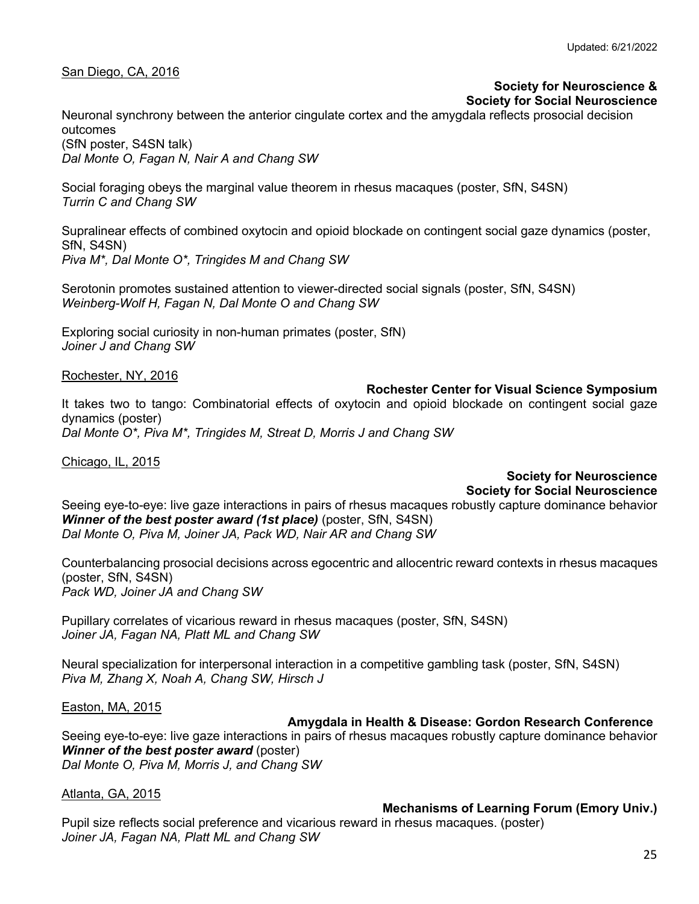#### San Diego, CA, 2016

#### **Society for Neuroscience & Society for Social Neuroscience**

Neuronal synchrony between the anterior cingulate cortex and the amygdala reflects prosocial decision outcomes

(SfN poster, S4SN talk) *Dal Monte O, Fagan N, Nair A and Chang SW*

Social foraging obeys the marginal value theorem in rhesus macaques (poster, SfN, S4SN) *Turrin C and Chang SW*

Supralinear effects of combined oxytocin and opioid blockade on contingent social gaze dynamics (poster, SfN, S4SN) *Piva M\*, Dal Monte O\*, Tringides M and Chang SW*

Serotonin promotes sustained attention to viewer-directed social signals (poster, SfN, S4SN) *Weinberg-Wolf H, Fagan N, Dal Monte O and Chang SW*

Exploring social curiosity in non-human primates (poster, SfN) *Joiner J and Chang SW*

Rochester, NY, 2016

#### **Rochester Center for Visual Science Symposium**

It takes two to tango: Combinatorial effects of oxytocin and opioid blockade on contingent social gaze dynamics (poster) *Dal Monte O\*, Piva M\*, Tringides M, Streat D, Morris J and Chang SW*

Chicago, IL, 2015

# **Society for Neuroscience Society for Social Neuroscience**

Seeing eye-to-eye: live gaze interactions in pairs of rhesus macaques robustly capture dominance behavior *Winner of the best poster award (1st place)* (poster, SfN, S4SN) *Dal Monte O, Piva M, Joiner JA, Pack WD, Nair AR and Chang SW*

Counterbalancing prosocial decisions across egocentric and allocentric reward contexts in rhesus macaques (poster, SfN, S4SN) *Pack WD, Joiner JA and Chang SW*

Pupillary correlates of vicarious reward in rhesus macaques (poster, SfN, S4SN) *Joiner JA, Fagan NA, Platt ML and Chang SW*

Neural specialization for interpersonal interaction in a competitive gambling task (poster, SfN, S4SN) *Piva M, Zhang X, Noah A, Chang SW, Hirsch J*

Easton, MA, 2015

### **Amygdala in Health & Disease: Gordon Research Conference**

Seeing eye-to-eye: live gaze interactions in pairs of rhesus macaques robustly capture dominance behavior *Winner of the best poster award* (poster) *Dal Monte O, Piva M, Morris J, and Chang SW*

Atlanta, GA, 2015

### **Mechanisms of Learning Forum (Emory Univ.)**

Pupil size reflects social preference and vicarious reward in rhesus macaques. (poster) *Joiner JA, Fagan NA, Platt ML and Chang SW*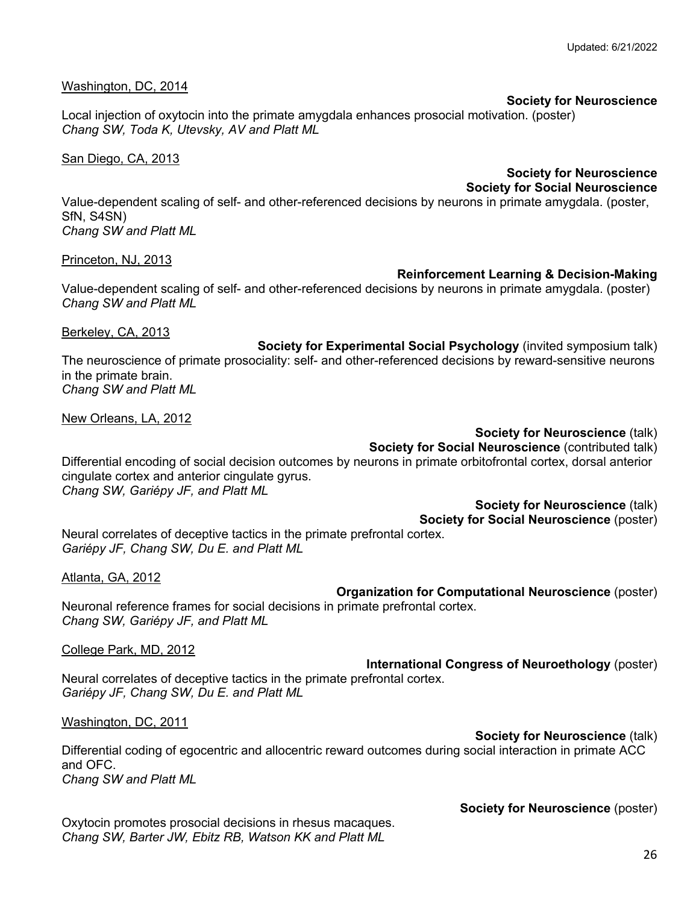#### Washington, DC, 2014

### **Society for Neuroscience**

Local injection of oxytocin into the primate amygdala enhances prosocial motivation. (poster) *Chang SW, Toda K, Utevsky, AV and Platt ML*

San Diego, CA, 2013

# **Society for Neuroscience Society for Social Neuroscience**

Value-dependent scaling of self- and other-referenced decisions by neurons in primate amygdala. (poster, SfN, S4SN) *Chang SW and Platt ML*

Princeton, NJ, 2013

#### **Reinforcement Learning & Decision-Making**

Value-dependent scaling of self- and other-referenced decisions by neurons in primate amygdala. (poster) *Chang SW and Platt ML*

Berkeley, CA, 2013

**Society for Experimental Social Psychology** (invited symposium talk) The neuroscience of primate prosociality: self- and other-referenced decisions by reward-sensitive neurons in the primate brain. *Chang SW and Platt ML*

New Orleans, LA, 2012

### **Society for Neuroscience** (talk) **Society for Social Neuroscience** (contributed talk)

Differential encoding of social decision outcomes by neurons in primate orbitofrontal cortex, dorsal anterior cingulate cortex and anterior cingulate gyrus. *Chang SW, Gariépy JF, and Platt ML*

> **Society for Neuroscience** (talk) **Society for Social Neuroscience** (poster)

Neural correlates of deceptive tactics in the primate prefrontal cortex. *Gariépy JF, Chang SW, Du E. and Platt ML*

Atlanta, GA, 2012

**Organization for Computational Neuroscience** (poster)

Neuronal reference frames for social decisions in primate prefrontal cortex. *Chang SW, Gariépy JF, and Platt ML*

College Park, MD, 2012

**International Congress of Neuroethology** (poster) Neural correlates of deceptive tactics in the primate prefrontal cortex. *Gariépy JF, Chang SW, Du E. and Platt ML*

### Washington, DC, 2011

#### **Society for Neuroscience** (talk)

Differential coding of egocentric and allocentric reward outcomes during social interaction in primate ACC and OFC.

*Chang SW and Platt ML*

**Society for Neuroscience** (poster)

Oxytocin promotes prosocial decisions in rhesus macaques. *Chang SW, Barter JW, Ebitz RB, Watson KK and Platt ML*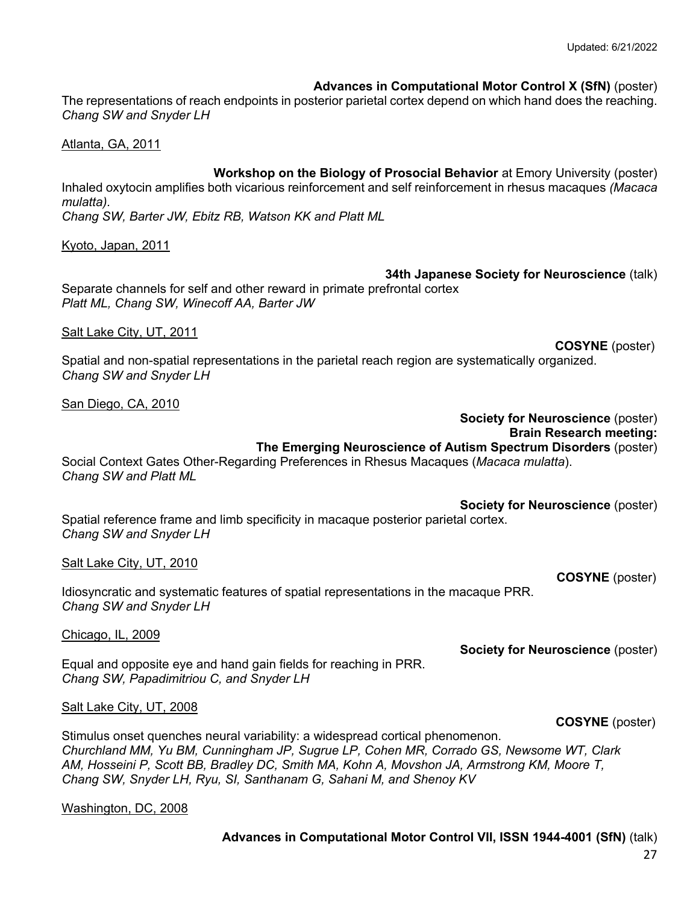**Advances in Computational Motor Control X (SfN)** (poster)

The representations of reach endpoints in posterior parietal cortex depend on which hand does the reaching. *Chang SW and Snyder LH*

Atlanta, GA, 2011

**Workshop on the Biology of Prosocial Behavior** at Emory University (poster) Inhaled oxytocin amplifies both vicarious reinforcement and self reinforcement in rhesus macaques *(Macaca mulatta). Chang SW, Barter JW, Ebitz RB, Watson KK and Platt ML*

Kyoto, Japan, 2011

**34th Japanese Society for Neuroscience** (talk) Separate channels for self and other reward in primate prefrontal cortex *Platt ML, Chang SW, Winecoff AA, Barter JW* 

Salt Lake City, UT, 2011

**COSYNE** (poster)

 **COSYNE** (poster)

**Society for Neuroscience** (poster)

Spatial and non-spatial representations in the parietal reach region are systematically organized. *Chang SW and Snyder LH*

San Diego, CA, 2010

### **Society for Neuroscience** (poster) **Brain Research meeting: The Emerging Neuroscience of Autism Spectrum Disorders** (poster)

Social Context Gates Other-Regarding Preferences in Rhesus Macaques (*Macaca mulatta*). *Chang SW and Platt ML*

**Society for Neuroscience** (poster) Spatial reference frame and limb specificity in macaque posterior parietal cortex. *Chang SW and Snyder LH*

Salt Lake City, UT, 2010

Idiosyncratic and systematic features of spatial representations in the macaque PRR. *Chang SW and Snyder LH*

Chicago, IL, 2009

Equal and opposite eye and hand gain fields for reaching in PRR. *Chang SW, Papadimitriou C, and Snyder LH*

### Salt Lake City, UT, 2008

 **COSYNE** (poster) Stimulus onset quenches neural variability: a widespread cortical phenomenon. *Churchland MM, Yu BM, Cunningham JP, Sugrue LP, Cohen MR, Corrado GS, Newsome WT, Clark AM, Hosseini P, Scott BB, Bradley DC, Smith MA, Kohn A, Movshon JA, Armstrong KM, Moore T, Chang SW, Snyder LH, Ryu, SI, Santhanam G, Sahani M, and Shenoy KV*

Washington, DC, 2008

# **Advances in Computational Motor Control VII, ISSN 1944-4001 (SfN)** (talk)